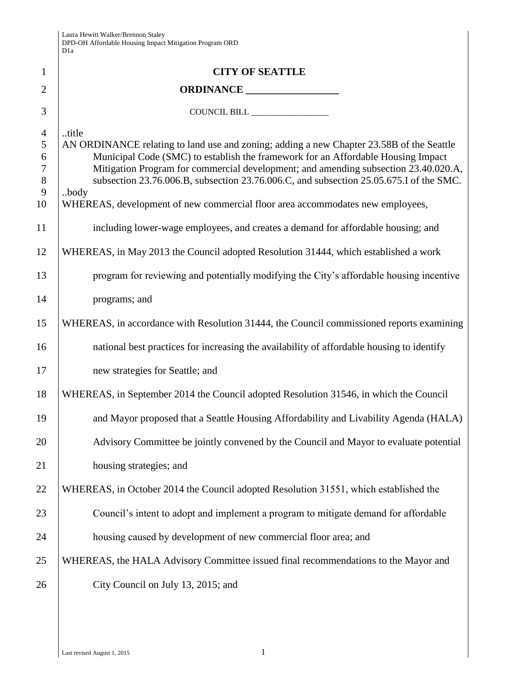| Laura Hewitt Walker/Brennon Staley                      |
|---------------------------------------------------------|
| DPD-OH Affordable Housing Impact Mitigation Program ORD |
| D <sub>1</sub> a                                        |

|                                                        | Dia                                                                                                                                                                                                                                                                                                                                                                                                                                                             |
|--------------------------------------------------------|-----------------------------------------------------------------------------------------------------------------------------------------------------------------------------------------------------------------------------------------------------------------------------------------------------------------------------------------------------------------------------------------------------------------------------------------------------------------|
| $\mathbf{1}$                                           | <b>CITY OF SEATTLE</b>                                                                                                                                                                                                                                                                                                                                                                                                                                          |
| $\overline{2}$                                         |                                                                                                                                                                                                                                                                                                                                                                                                                                                                 |
| 3                                                      |                                                                                                                                                                                                                                                                                                                                                                                                                                                                 |
| $\overline{4}$<br>5<br>6<br>$\tau$<br>$8\,$<br>9<br>10 | title<br>AN ORDINANCE relating to land use and zoning; adding a new Chapter 23.58B of the Seattle<br>Municipal Code (SMC) to establish the framework for an Affordable Housing Impact<br>Mitigation Program for commercial development; and amending subsection 23.40.020.A,<br>subsection 23.76.006.B, subsection 23.76.006.C, and subsection 25.05.675.I of the SMC.<br>body<br>WHEREAS, development of new commercial floor area accommodates new employees, |
| 11                                                     | including lower-wage employees, and creates a demand for affordable housing; and                                                                                                                                                                                                                                                                                                                                                                                |
| 12                                                     | WHEREAS, in May 2013 the Council adopted Resolution 31444, which established a work                                                                                                                                                                                                                                                                                                                                                                             |
| 13                                                     | program for reviewing and potentially modifying the City's affordable housing incentive                                                                                                                                                                                                                                                                                                                                                                         |
| 14                                                     | programs; and                                                                                                                                                                                                                                                                                                                                                                                                                                                   |
| 15                                                     | WHEREAS, in accordance with Resolution 31444, the Council commissioned reports examining                                                                                                                                                                                                                                                                                                                                                                        |
| 16                                                     | national best practices for increasing the availability of affordable housing to identify                                                                                                                                                                                                                                                                                                                                                                       |
| 17                                                     | new strategies for Seattle; and                                                                                                                                                                                                                                                                                                                                                                                                                                 |
| 18                                                     | WHEREAS, in September 2014 the Council adopted Resolution 31546, in which the Council                                                                                                                                                                                                                                                                                                                                                                           |
| 19                                                     | and Mayor proposed that a Seattle Housing Affordability and Livability Agenda (HALA)                                                                                                                                                                                                                                                                                                                                                                            |
| 20                                                     | Advisory Committee be jointly convened by the Council and Mayor to evaluate potential                                                                                                                                                                                                                                                                                                                                                                           |
| 21                                                     | housing strategies; and                                                                                                                                                                                                                                                                                                                                                                                                                                         |
| 22                                                     | WHEREAS, in October 2014 the Council adopted Resolution 31551, which established the                                                                                                                                                                                                                                                                                                                                                                            |
| 23                                                     | Council's intent to adopt and implement a program to mitigate demand for affordable                                                                                                                                                                                                                                                                                                                                                                             |
| 24                                                     | housing caused by development of new commercial floor area; and                                                                                                                                                                                                                                                                                                                                                                                                 |
| 25                                                     | WHEREAS, the HALA Advisory Committee issued final recommendations to the Mayor and                                                                                                                                                                                                                                                                                                                                                                              |
| 26                                                     | City Council on July 13, 2015; and                                                                                                                                                                                                                                                                                                                                                                                                                              |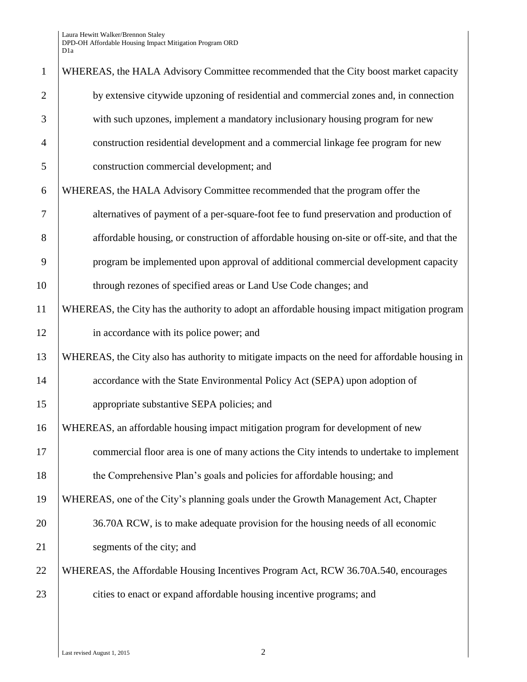| $\mathbf{1}$   | WHEREAS, the HALA Advisory Committee recommended that the City boost market capacity           |
|----------------|------------------------------------------------------------------------------------------------|
| $\overline{2}$ | by extensive citywide upzoning of residential and commercial zones and, in connection          |
| 3              | with such upzones, implement a mandatory inclusionary housing program for new                  |
| $\overline{4}$ | construction residential development and a commercial linkage fee program for new              |
| 5              | construction commercial development; and                                                       |
| 6              | WHEREAS, the HALA Advisory Committee recommended that the program offer the                    |
| 7              | alternatives of payment of a per-square-foot fee to fund preservation and production of        |
| 8              | affordable housing, or construction of affordable housing on-site or off-site, and that the    |
| 9              | program be implemented upon approval of additional commercial development capacity             |
| 10             | through rezones of specified areas or Land Use Code changes; and                               |
| 11             | WHEREAS, the City has the authority to adopt an affordable housing impact mitigation program   |
| 12             | in accordance with its police power; and                                                       |
| 13             | WHEREAS, the City also has authority to mitigate impacts on the need for affordable housing in |
| 14             | accordance with the State Environmental Policy Act (SEPA) upon adoption of                     |
| 15             | appropriate substantive SEPA policies; and                                                     |
| 16             | WHEREAS, an affordable housing impact mitigation program for development of new                |
| 17             | commercial floor area is one of many actions the City intends to undertake to implement        |
| 18             | the Comprehensive Plan's goals and policies for affordable housing; and                        |
| 19             | WHEREAS, one of the City's planning goals under the Growth Management Act, Chapter             |
| 20             | 36.70A RCW, is to make adequate provision for the housing needs of all economic                |
| 21             | segments of the city; and                                                                      |
| 22             | WHEREAS, the Affordable Housing Incentives Program Act, RCW 36.70A.540, encourages             |
| 23             | cities to enact or expand affordable housing incentive programs; and                           |
|                |                                                                                                |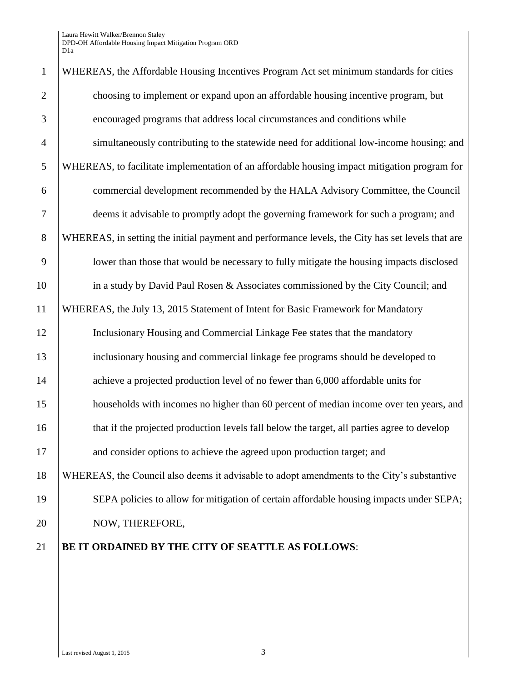| $\mathbf{1}$   | WHEREAS, the Affordable Housing Incentives Program Act set minimum standards for cities          |
|----------------|--------------------------------------------------------------------------------------------------|
| $\overline{2}$ | choosing to implement or expand upon an affordable housing incentive program, but                |
| 3              | encouraged programs that address local circumstances and conditions while                        |
| $\overline{4}$ | simultaneously contributing to the statewide need for additional low-income housing; and         |
| 5              | WHEREAS, to facilitate implementation of an affordable housing impact mitigation program for     |
| 6              | commercial development recommended by the HALA Advisory Committee, the Council                   |
| $\overline{7}$ | deems it advisable to promptly adopt the governing framework for such a program; and             |
| 8              | WHEREAS, in setting the initial payment and performance levels, the City has set levels that are |
| 9              | lower than those that would be necessary to fully mitigate the housing impacts disclosed         |
| 10             | in a study by David Paul Rosen & Associates commissioned by the City Council; and                |
| 11             | WHEREAS, the July 13, 2015 Statement of Intent for Basic Framework for Mandatory                 |
| 12             | Inclusionary Housing and Commercial Linkage Fee states that the mandatory                        |
| 13             | inclusionary housing and commercial linkage fee programs should be developed to                  |
| 14             | achieve a projected production level of no fewer than 6,000 affordable units for                 |
| 15             | households with incomes no higher than 60 percent of median income over ten years, and           |
| 16             | that if the projected production levels fall below the target, all parties agree to develop      |
| 17             | and consider options to achieve the agreed upon production target; and                           |
| 18             | WHEREAS, the Council also deems it advisable to adopt amendments to the City's substantive       |
| 19             | SEPA policies to allow for mitigation of certain affordable housing impacts under SEPA;          |
| 20             | NOW, THEREFORE,                                                                                  |
| 21             | BE IT ORDAINED BY THE CITY OF SEATTLE AS FOLLOWS:                                                |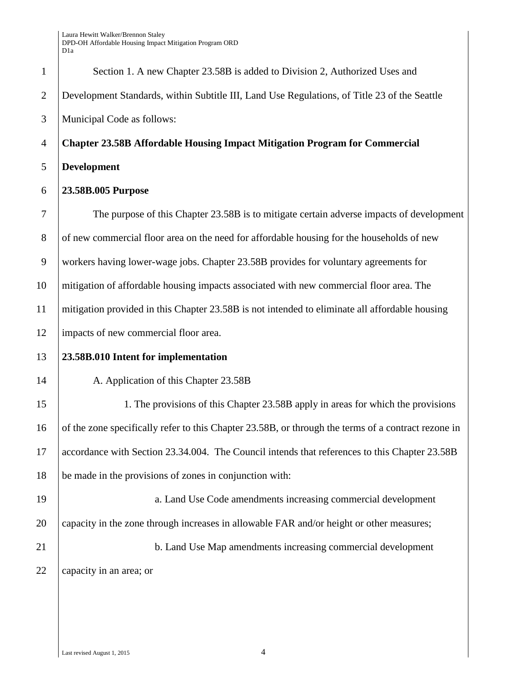| $\mathbf{1}$   | Section 1. A new Chapter 23.58B is added to Division 2, Authorized Uses and                         |
|----------------|-----------------------------------------------------------------------------------------------------|
| $\overline{2}$ | Development Standards, within Subtitle III, Land Use Regulations, of Title 23 of the Seattle        |
| 3              | Municipal Code as follows:                                                                          |
| $\overline{4}$ | <b>Chapter 23.58B Affordable Housing Impact Mitigation Program for Commercial</b>                   |
| 5              | <b>Development</b>                                                                                  |
| 6              | 23.58B.005 Purpose                                                                                  |
| 7              | The purpose of this Chapter 23.58B is to mitigate certain adverse impacts of development            |
| 8              | of new commercial floor area on the need for affordable housing for the households of new           |
| 9              | workers having lower-wage jobs. Chapter 23.58B provides for voluntary agreements for                |
| 10             | mitigation of affordable housing impacts associated with new commercial floor area. The             |
| 11             | mitigation provided in this Chapter 23.58B is not intended to eliminate all affordable housing      |
| 12             | impacts of new commercial floor area.                                                               |
| 13             | 23.58B.010 Intent for implementation                                                                |
| 14             | A. Application of this Chapter 23.58B                                                               |
| 15             | 1. The provisions of this Chapter 23.58B apply in areas for which the provisions                    |
| 16             | of the zone specifically refer to this Chapter 23.58B, or through the terms of a contract rezone in |
| 17             | accordance with Section 23.34.004. The Council intends that references to this Chapter 23.58B       |
| 18             | be made in the provisions of zones in conjunction with:                                             |
| 19             | a. Land Use Code amendments increasing commercial development                                       |
| 20             | capacity in the zone through increases in allowable FAR and/or height or other measures;            |
| 21             | b. Land Use Map amendments increasing commercial development                                        |
| 22             | capacity in an area; or                                                                             |
|                |                                                                                                     |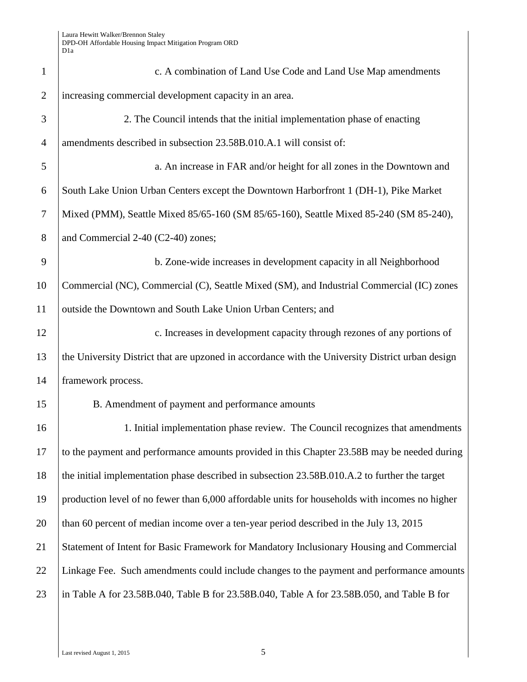| $\mathbf{1}$   | c. A combination of Land Use Code and Land Use Map amendments                                    |
|----------------|--------------------------------------------------------------------------------------------------|
| $\overline{2}$ | increasing commercial development capacity in an area.                                           |
| 3              | 2. The Council intends that the initial implementation phase of enacting                         |
| $\overline{4}$ | amendments described in subsection 23.58B.010.A.1 will consist of:                               |
| 5              | a. An increase in FAR and/or height for all zones in the Downtown and                            |
| 6              | South Lake Union Urban Centers except the Downtown Harborfront 1 (DH-1), Pike Market             |
| $\overline{7}$ | Mixed (PMM), Seattle Mixed 85/65-160 (SM 85/65-160), Seattle Mixed 85-240 (SM 85-240),           |
| 8              | and Commercial 2-40 (C2-40) zones;                                                               |
| 9              | b. Zone-wide increases in development capacity in all Neighborhood                               |
| 10             | Commercial (NC), Commercial (C), Seattle Mixed (SM), and Industrial Commercial (IC) zones        |
| 11             | outside the Downtown and South Lake Union Urban Centers; and                                     |
| 12             | c. Increases in development capacity through rezones of any portions of                          |
| 13             | the University District that are upzoned in accordance with the University District urban design |
| 14             | framework process.                                                                               |
| 15             | B. Amendment of payment and performance amounts                                                  |
| 16             | 1. Initial implementation phase review. The Council recognizes that amendments                   |
| 17             | to the payment and performance amounts provided in this Chapter 23.58B may be needed during      |
| 18             | the initial implementation phase described in subsection 23.58B.010.A.2 to further the target    |
| 19             | production level of no fewer than 6,000 affordable units for households with incomes no higher   |
| 20             | than 60 percent of median income over a ten-year period described in the July 13, 2015           |
| 21             | Statement of Intent for Basic Framework for Mandatory Inclusionary Housing and Commercial        |
| 22             | Linkage Fee. Such amendments could include changes to the payment and performance amounts        |
| 23             | in Table A for 23.58B.040, Table B for 23.58B.040, Table A for 23.58B.050, and Table B for       |
|                |                                                                                                  |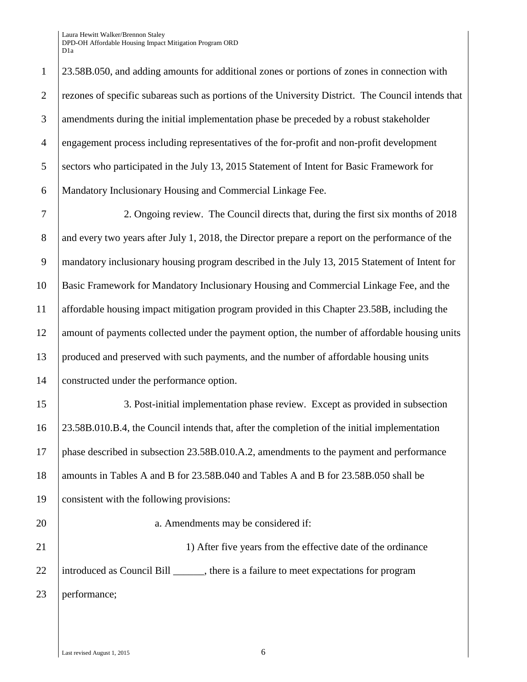23.58B.050, and adding amounts for additional zones or portions of zones in connection with rezones of specific subareas such as portions of the University District. The Council intends that 3 amendments during the initial implementation phase be preceded by a robust stakeholder engagement process including representatives of the for-profit and non-profit development 5 Sectors who participated in the July 13, 2015 Statement of Intent for Basic Framework for Mandatory Inclusionary Housing and Commercial Linkage Fee.

 2. Ongoing review. The Council directs that, during the first six months of 2018 8 and every two years after July 1, 2018, the Director prepare a report on the performance of the mandatory inclusionary housing program described in the July 13, 2015 Statement of Intent for Basic Framework for Mandatory Inclusionary Housing and Commercial Linkage Fee, and the affordable housing impact mitigation program provided in this Chapter 23.58B, including the 12 amount of payments collected under the payment option, the number of affordable housing units produced and preserved with such payments, and the number of affordable housing units constructed under the performance option.

 3. Post-initial implementation phase review. Except as provided in subsection 23.58B.010.B.4, the Council intends that, after the completion of the initial implementation phase described in subsection 23.58B.010.A.2, amendments to the payment and performance 18 amounts in Tables A and B for 23.58B.040 and Tables A and B for 23.58B.050 shall be consistent with the following provisions:

20 a. Amendments may be considered if: 21 1 21 1) After five years from the effective date of the ordinance 22 introduced as Council Bill there is a failure to meet expectations for program 23 performance;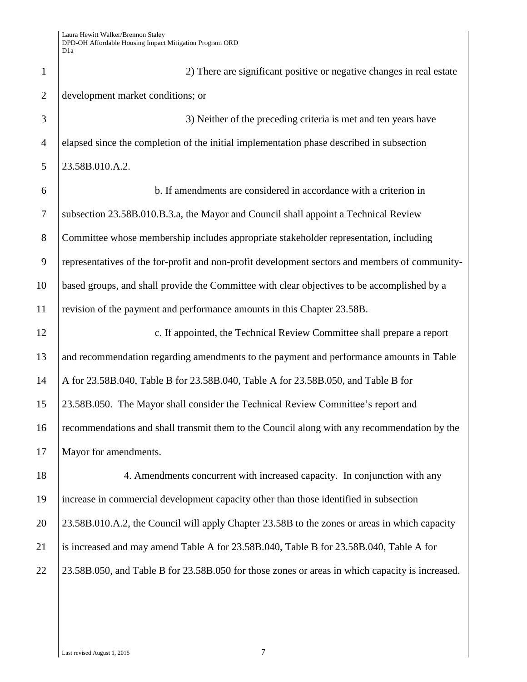| $\mathbf{1}$   | 2) There are significant positive or negative changes in real estate                            |
|----------------|-------------------------------------------------------------------------------------------------|
| $\overline{2}$ | development market conditions; or                                                               |
| 3              | 3) Neither of the preceding criteria is met and ten years have                                  |
| $\overline{4}$ | elapsed since the completion of the initial implementation phase described in subsection        |
| 5              | 23.58B.010.A.2.                                                                                 |
| 6              | b. If amendments are considered in accordance with a criterion in                               |
| $\tau$         | subsection 23.58B.010.B.3.a, the Mayor and Council shall appoint a Technical Review             |
| 8              | Committee whose membership includes appropriate stakeholder representation, including           |
| 9              | representatives of the for-profit and non-profit development sectors and members of community-  |
| 10             | based groups, and shall provide the Committee with clear objectives to be accomplished by a     |
| 11             | revision of the payment and performance amounts in this Chapter 23.58B.                         |
| 12             | c. If appointed, the Technical Review Committee shall prepare a report                          |
| 13             | and recommendation regarding amendments to the payment and performance amounts in Table         |
| 14             | A for 23.58B.040, Table B for 23.58B.040, Table A for 23.58B.050, and Table B for               |
| 15             | 23.58B.050. The Mayor shall consider the Technical Review Committee's report and                |
| 16             | recommendations and shall transmit them to the Council along with any recommendation by the     |
| 17             | Mayor for amendments.                                                                           |
| 18             | 4. Amendments concurrent with increased capacity. In conjunction with any                       |
| 19             | increase in commercial development capacity other than those identified in subsection           |
| 20             | 23.58B.010.A.2, the Council will apply Chapter 23.58B to the zones or areas in which capacity   |
| 21             | is increased and may amend Table A for 23.58B.040, Table B for 23.58B.040, Table A for          |
| 22             | 23.58B.050, and Table B for 23.58B.050 for those zones or areas in which capacity is increased. |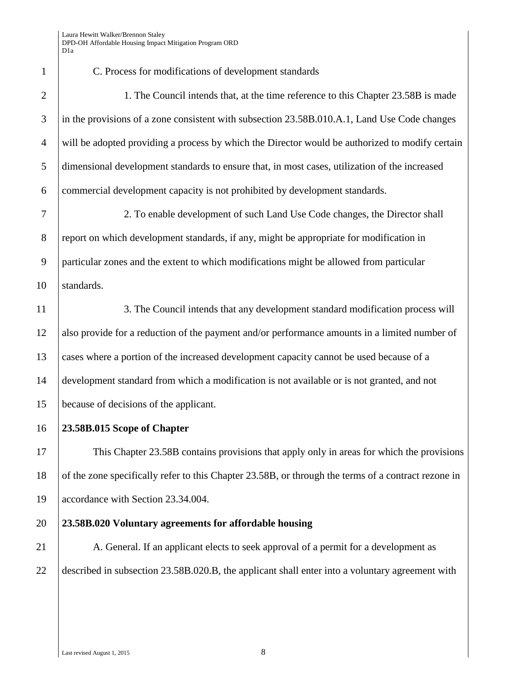C. Process for modifications of development standards 2 1. The Council intends that, at the time reference to this Chapter 23.58B is made 3 in the provisions of a zone consistent with subsection 23.58B.010.A.1, Land Use Code changes 4 will be adopted providing a process by which the Director would be authorized to modify certain dimensional development standards to ensure that, in most cases, utilization of the increased commercial development capacity is not prohibited by development standards. 2. To enable development of such Land Use Code changes, the Director shall 8 report on which development standards, if any, might be appropriate for modification in particular zones and the extent to which modifications might be allowed from particular 10 standards. 11 3. The Council intends that any development standard modification process will also provide for a reduction of the payment and/or performance amounts in a limited number of cases where a portion of the increased development capacity cannot be used because of a development standard from which a modification is not available or is not granted, and not because of decisions of the applicant. **23.58B.015 Scope of Chapter** This Chapter 23.58B contains provisions that apply only in areas for which the provisions 18 of the zone specifically refer to this Chapter 23.58B, or through the terms of a contract rezone in accordance with Section 23.34.004. **23.58B.020 Voluntary agreements for affordable housing** 21 A. General. If an applicant elects to seek approval of a permit for a development as described in subsection 23.58B.020.B, the applicant shall enter into a voluntary agreement with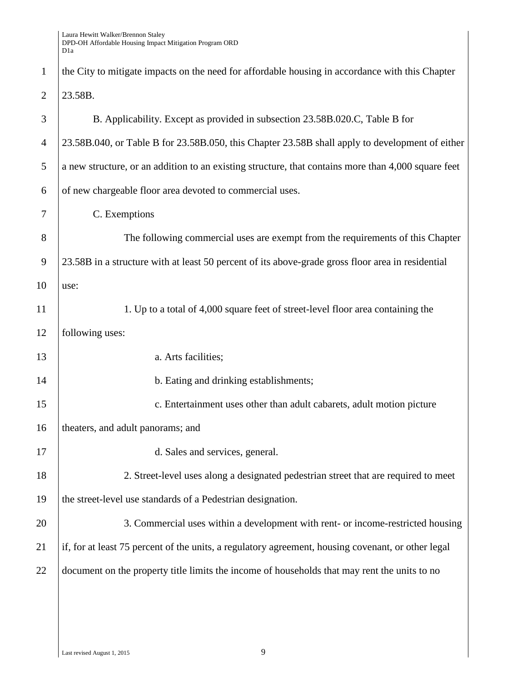| $\mathbf{1}$   | the City to mitigate impacts on the need for affordable housing in accordance with this Chapter     |
|----------------|-----------------------------------------------------------------------------------------------------|
| $\overline{2}$ | 23.58B.                                                                                             |
| 3              | B. Applicability. Except as provided in subsection 23.58B.020.C, Table B for                        |
| $\overline{4}$ | 23.58B.040, or Table B for 23.58B.050, this Chapter 23.58B shall apply to development of either     |
| 5              | a new structure, or an addition to an existing structure, that contains more than 4,000 square feet |
| 6              | of new chargeable floor area devoted to commercial uses.                                            |
| 7              | C. Exemptions                                                                                       |
| 8              | The following commercial uses are exempt from the requirements of this Chapter                      |
| $\overline{9}$ | 23.58B in a structure with at least 50 percent of its above-grade gross floor area in residential   |
| 10             | use:                                                                                                |
| 11             | 1. Up to a total of 4,000 square feet of street-level floor area containing the                     |
| 12             | following uses:                                                                                     |
| 13             | a. Arts facilities;                                                                                 |
| 14             | b. Eating and drinking establishments;                                                              |
| 15             | c. Entertainment uses other than adult cabarets, adult motion picture                               |
| 16             | theaters, and adult panorams; and                                                                   |
| 17             | d. Sales and services, general.                                                                     |
| 18             | 2. Street-level uses along a designated pedestrian street that are required to meet                 |
| 19             | the street-level use standards of a Pedestrian designation.                                         |
| 20             | 3. Commercial uses within a development with rent- or income-restricted housing                     |
| 21             | if, for at least 75 percent of the units, a regulatory agreement, housing covenant, or other legal  |
| 22             | document on the property title limits the income of households that may rent the units to no        |
|                |                                                                                                     |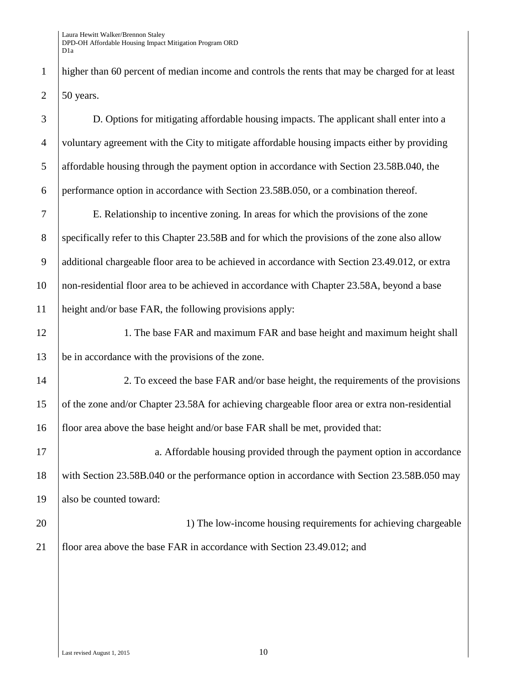higher than 60 percent of median income and controls the rents that may be charged for at least 2  $\vert$  50 years.

 D. Options for mitigating affordable housing impacts. The applicant shall enter into a voluntary agreement with the City to mitigate affordable housing impacts either by providing affordable housing through the payment option in accordance with Section 23.58B.040, the performance option in accordance with Section 23.58B.050, or a combination thereof. E. Relationship to incentive zoning. In areas for which the provisions of the zone 8 specifically refer to this Chapter 23.58B and for which the provisions of the zone also allow additional chargeable floor area to be achieved in accordance with Section 23.49.012, or extra non-residential floor area to be achieved in accordance with Chapter 23.58A, beyond a base height and/or base FAR, the following provisions apply: 12 1. The base FAR and maximum FAR and base height and maximum height shall be in accordance with the provisions of the zone. 2. To exceed the base FAR and/or base height, the requirements of the provisions of the zone and/or Chapter 23.58A for achieving chargeable floor area or extra non-residential floor area above the base height and/or base FAR shall be met, provided that: 17 a. Affordable housing provided through the payment option in accordance with Section 23.58B.040 or the performance option in accordance with Section 23.58B.050 may 19 also be counted toward: 20 1) The low-income housing requirements for achieving chargeable floor area above the base FAR in accordance with Section 23.49.012; and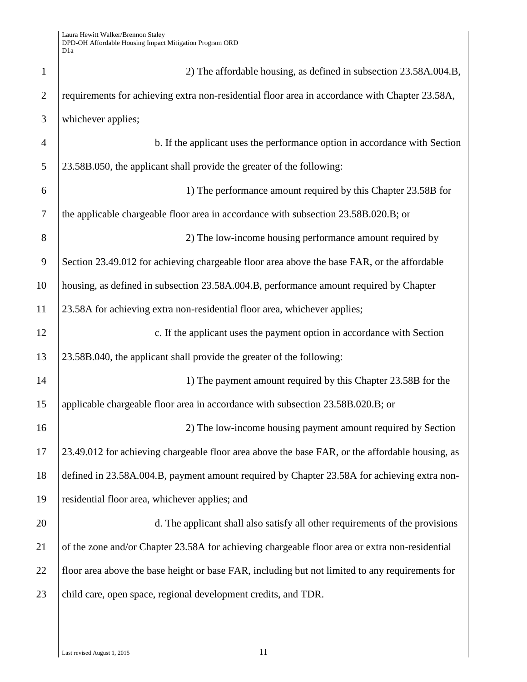| $\mathbf{1}$   | 2) The affordable housing, as defined in subsection 23.58A.004.B,                               |
|----------------|-------------------------------------------------------------------------------------------------|
| $\overline{2}$ | requirements for achieving extra non-residential floor area in accordance with Chapter 23.58A,  |
| 3              | whichever applies;                                                                              |
| $\overline{4}$ | b. If the applicant uses the performance option in accordance with Section                      |
| 5              | 23.58B.050, the applicant shall provide the greater of the following:                           |
| 6              | 1) The performance amount required by this Chapter 23.58B for                                   |
| $\overline{7}$ | the applicable chargeable floor area in accordance with subsection 23.58B.020.B; or             |
| 8              | 2) The low-income housing performance amount required by                                        |
| 9              | Section 23.49.012 for achieving chargeable floor area above the base FAR, or the affordable     |
| 10             | housing, as defined in subsection 23.58A.004.B, performance amount required by Chapter          |
| 11             | 23.58A for achieving extra non-residential floor area, whichever applies;                       |
| 12             | c. If the applicant uses the payment option in accordance with Section                          |
| 13             | 23.58B.040, the applicant shall provide the greater of the following:                           |
| 14             | 1) The payment amount required by this Chapter 23.58B for the                                   |
| 15             | applicable chargeable floor area in accordance with subsection 23.58B.020.B; or                 |
| 16             | 2) The low-income housing payment amount required by Section                                    |
| 17             | 23.49.012 for achieving chargeable floor area above the base FAR, or the affordable housing, as |
| 18             | defined in 23.58A.004.B, payment amount required by Chapter 23.58A for achieving extra non-     |
| 19             | residential floor area, whichever applies; and                                                  |
| 20             | d. The applicant shall also satisfy all other requirements of the provisions                    |
| 21             | of the zone and/or Chapter 23.58A for achieving chargeable floor area or extra non-residential  |
| 22             | floor area above the base height or base FAR, including but not limited to any requirements for |
| 23             | child care, open space, regional development credits, and TDR.                                  |
|                |                                                                                                 |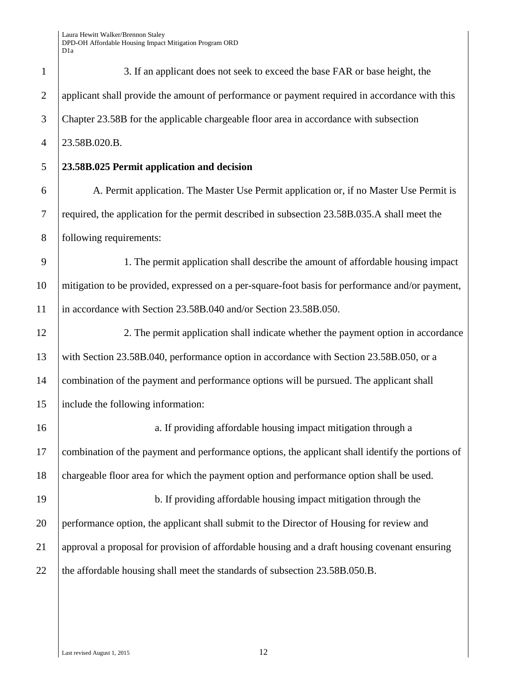| $\mathbf{1}$   | 3. If an applicant does not seek to exceed the base FAR or base height, the                      |
|----------------|--------------------------------------------------------------------------------------------------|
| $\overline{2}$ | applicant shall provide the amount of performance or payment required in accordance with this    |
| 3              | Chapter 23.58B for the applicable chargeable floor area in accordance with subsection            |
| $\overline{4}$ | 23.58B.020.B.                                                                                    |
| 5              | 23.58B.025 Permit application and decision                                                       |
| 6              | A. Permit application. The Master Use Permit application or, if no Master Use Permit is          |
| $\tau$         | required, the application for the permit described in subsection 23.58B.035.A shall meet the     |
| 8              | following requirements:                                                                          |
| 9              | 1. The permit application shall describe the amount of affordable housing impact                 |
| 10             | mitigation to be provided, expressed on a per-square-foot basis for performance and/or payment,  |
| 11             | in accordance with Section 23.58B.040 and/or Section 23.58B.050.                                 |
| 12             | 2. The permit application shall indicate whether the payment option in accordance                |
| 13             | with Section 23.58B.040, performance option in accordance with Section 23.58B.050, or a          |
| 14             | combination of the payment and performance options will be pursued. The applicant shall          |
| 15             | include the following information:                                                               |
| 16             | a. If providing affordable housing impact mitigation through a                                   |
| 17             | combination of the payment and performance options, the applicant shall identify the portions of |
| 18             | chargeable floor area for which the payment option and performance option shall be used.         |
| 19             | b. If providing affordable housing impact mitigation through the                                 |
| 20             | performance option, the applicant shall submit to the Director of Housing for review and         |
| 21             | approval a proposal for provision of affordable housing and a draft housing covenant ensuring    |
| 22             | the affordable housing shall meet the standards of subsection 23.58B.050.B.                      |
|                |                                                                                                  |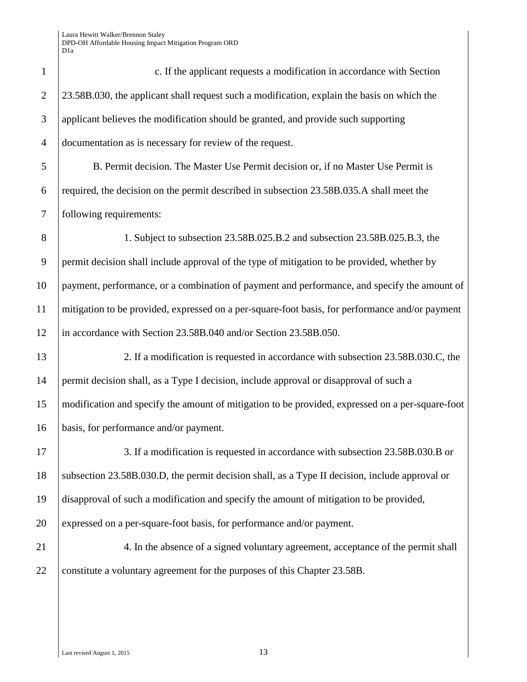c. If the applicant requests a modification in accordance with Section 2 23.58B.030, the applicant shall request such a modification, explain the basis on which the applicant believes the modification should be granted, and provide such supporting documentation as is necessary for review of the request. B. Permit decision. The Master Use Permit decision or, if no Master Use Permit is required, the decision on the permit described in subsection 23.58B.035.A shall meet the following requirements: 1. Subject to subsection 23.58B.025.B.2 and subsection 23.58B.025.B.3, the 9 permit decision shall include approval of the type of mitigation to be provided, whether by payment, performance, or a combination of payment and performance, and specify the amount of mitigation to be provided, expressed on a per-square-foot basis, for performance and/or payment 12 in accordance with Section 23.58B.040 and/or Section 23.58B.050. 2. If a modification is requested in accordance with subsection 23.58B.030.C, the permit decision shall, as a Type I decision, include approval or disapproval of such a modification and specify the amount of mitigation to be provided, expressed on a per-square-foot basis, for performance and/or payment. 17 3. If a modification is requested in accordance with subsection 23.58B.030.B or subsection 23.58B.030.D, the permit decision shall, as a Type II decision, include approval or disapproval of such a modification and specify the amount of mitigation to be provided, 20 expressed on a per-square-foot basis, for performance and/or payment. 21 4. In the absence of a signed voluntary agreement, acceptance of the permit shall 22 constitute a voluntary agreement for the purposes of this Chapter 23.58B.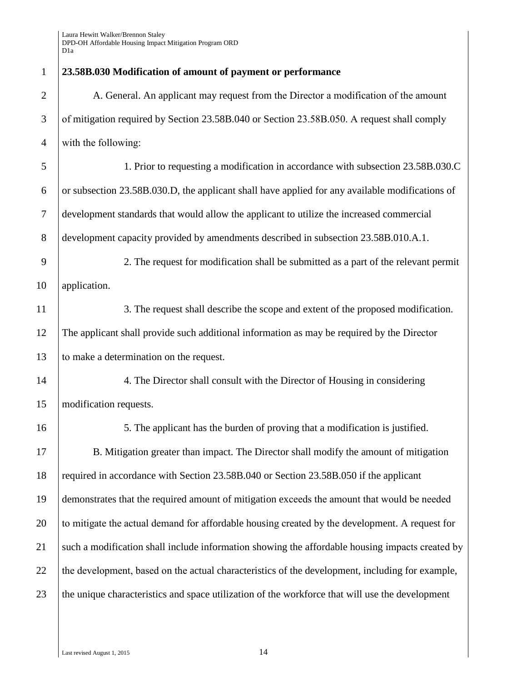| 23.58B.030 Modification of amount of payment or performance                                     |
|-------------------------------------------------------------------------------------------------|
| A. General. An applicant may request from the Director a modification of the amount             |
| of mitigation required by Section 23.58B.040 or Section 23.58B.050. A request shall comply      |
| with the following:                                                                             |
| 1. Prior to requesting a modification in accordance with subsection 23.58B.030.C                |
| or subsection 23.58B.030.D, the applicant shall have applied for any available modifications of |
| development standards that would allow the applicant to utilize the increased commercial        |
| development capacity provided by amendments described in subsection 23.58B.010.A.1.             |
| 2. The request for modification shall be submitted as a part of the relevant permit             |
| application.                                                                                    |
| 3. The request shall describe the scope and extent of the proposed modification.                |
| The applicant shall provide such additional information as may be required by the Director      |
| to make a determination on the request.                                                         |
| 4. The Director shall consult with the Director of Housing in considering                       |
| modification requests.                                                                          |
| 5. The applicant has the burden of proving that a modification is justified.                    |
| B. Mitigation greater than impact. The Director shall modify the amount of mitigation           |
| required in accordance with Section 23.58B.040 or Section 23.58B.050 if the applicant           |
| demonstrates that the required amount of mitigation exceeds the amount that would be needed     |
| to mitigate the actual demand for affordable housing created by the development. A request for  |
| such a modification shall include information showing the affordable housing impacts created by |
| the development, based on the actual characteristics of the development, including for example, |
| the unique characteristics and space utilization of the workforce that will use the development |
|                                                                                                 |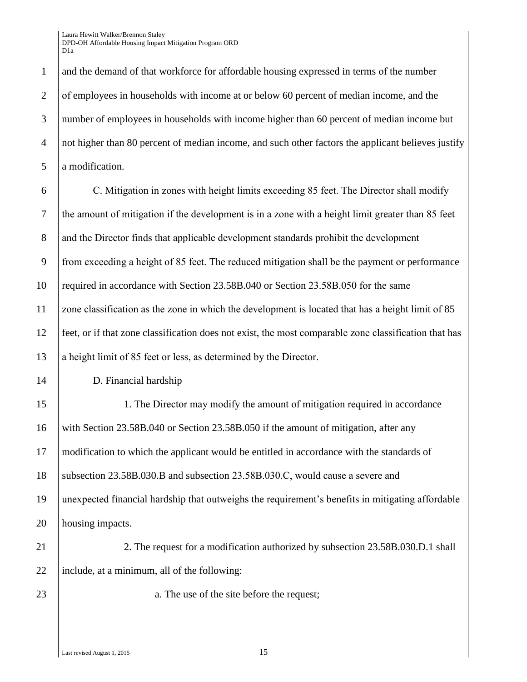1 and the demand of that workforce for affordable housing expressed in terms of the number 2 of employees in households with income at or below 60 percent of median income, and the 3 number of employees in households with income higher than 60 percent of median income but 4 not higher than 80 percent of median income, and such other factors the applicant believes justify 5 a modification.

 $\overline{6}$  C. Mitigation in zones with height limits exceeding 85 feet. The Director shall modify 7 the amount of mitigation if the development is in a zone with a height limit greater than 85 feet 8 and the Director finds that applicable development standards prohibit the development 9 from exceeding a height of 85 feet. The reduced mitigation shall be the payment or performance 10 required in accordance with Section 23.58B.040 or Section 23.58B.050 for the same 11  $\vert$  zone classification as the zone in which the development is located that has a height limit of 85 12 feet, or if that zone classification does not exist, the most comparable zone classification that has 13 a height limit of  $85$  feet or less, as determined by the Director.

14 D. Financial hardship

15 1. The Director may modify the amount of mitigation required in accordance 16 with Section 23.58B.040 or Section 23.58B.050 if the amount of mitigation, after any 17 modification to which the applicant would be entitled in accordance with the standards of 18 Subsection 23.58B.030.B and subsection 23.58B.030.C, would cause a severe and 19 unexpected financial hardship that outweighs the requirement's benefits in mitigating affordable 20 housing impacts.

21 21 2. The request for a modification authorized by subsection 23.58B.030.D.1 shall 22 | include, at a minimum, all of the following:

23 a. The use of the site before the request;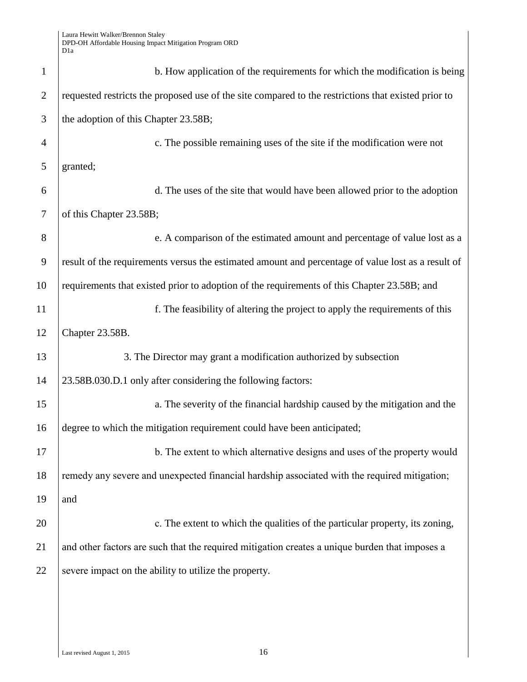| $\mathbf{1}$   | b. How application of the requirements for which the modification is being                          |
|----------------|-----------------------------------------------------------------------------------------------------|
| $\overline{2}$ | requested restricts the proposed use of the site compared to the restrictions that existed prior to |
| 3              | the adoption of this Chapter 23.58B;                                                                |
| $\overline{4}$ | c. The possible remaining uses of the site if the modification were not                             |
| 5              | granted;                                                                                            |
| 6              | d. The uses of the site that would have been allowed prior to the adoption                          |
| 7              | of this Chapter 23.58B;                                                                             |
| 8              | e. A comparison of the estimated amount and percentage of value lost as a                           |
| 9              | result of the requirements versus the estimated amount and percentage of value lost as a result of  |
| 10             | requirements that existed prior to adoption of the requirements of this Chapter 23.58B; and         |
| 11             | f. The feasibility of altering the project to apply the requirements of this                        |
| 12             | Chapter 23.58B.                                                                                     |
| 13             | 3. The Director may grant a modification authorized by subsection                                   |
| 14             | 23.58B.030.D.1 only after considering the following factors:                                        |
| 15             | a. The severity of the financial hardship caused by the mitigation and the                          |
| 16             | degree to which the mitigation requirement could have been anticipated;                             |
| 17             | b. The extent to which alternative designs and uses of the property would                           |
| 18             | remedy any severe and unexpected financial hardship associated with the required mitigation;        |
| 19             | and                                                                                                 |
| 20             | c. The extent to which the qualities of the particular property, its zoning,                        |
| 21             | and other factors are such that the required mitigation creates a unique burden that imposes a      |
| 22             | severe impact on the ability to utilize the property.                                               |
|                |                                                                                                     |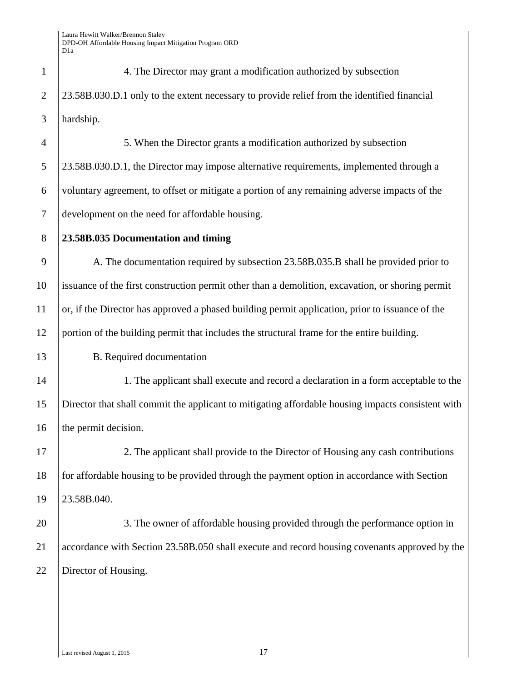| $\mathbf{L}$ | 4. The Director may grant a modification authorized by subsection                           |
|--------------|---------------------------------------------------------------------------------------------|
|              | 23.58B.030.D.1 only to the extent necessary to provide relief from the identified financial |
| 3            | hardship.                                                                                   |

 5. When the Director grants a modification authorized by subsection 23.58B.030.D.1, the Director may impose alternative requirements, implemented through a voluntary agreement, to offset or mitigate a portion of any remaining adverse impacts of the development on the need for affordable housing

**23.58B.035 Documentation and timing** 

9 A. The documentation required by subsection 23.58B.035.B shall be provided prior to issuance of the first construction permit other than a demolition, excavation, or shoring permit or, if the Director has approved a phased building permit application, prior to issuance of the portion of the building permit that includes the structural frame for the entire building.

B. Required documentation

14 1. The applicant shall execute and record a declaration in a form acceptable to the Director that shall commit the applicant to mitigating affordable housing impacts consistent with 16 the permit decision.

 2. The applicant shall provide to the Director of Housing any cash contributions 18 for affordable housing to be provided through the payment option in accordance with Section 23.58B.040.

20 3. The owner of affordable housing provided through the performance option in accordance with Section 23.58B.050 shall execute and record housing covenants approved by the 22 | Director of Housing.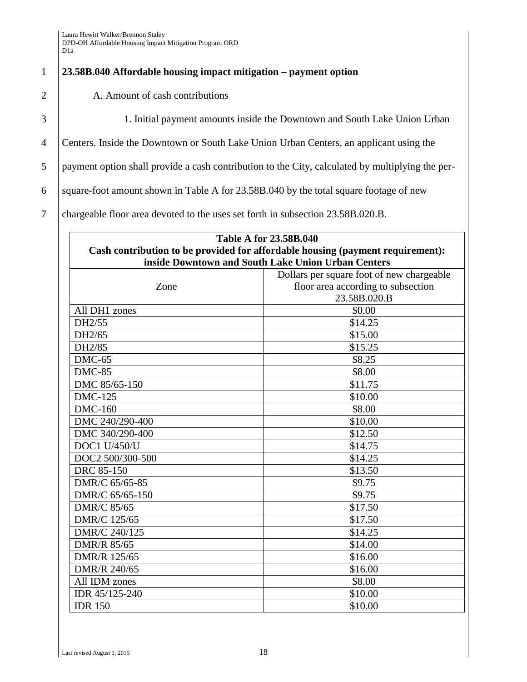## 1 **23.58B.040 Affordable housing impact mitigation – payment option**

2 A. Amount of cash contributions

3 1. Initial payment amounts inside the Downtown and South Lake Union Urban

4 Centers. Inside the Downtown or South Lake Union Urban Centers, an applicant using the

5 payment option shall provide a cash contribution to the City, calculated by multiplying the per-

6 square-foot amount shown in Table A for  $23.58B.040$  by the total square footage of new

7 chargeable floor area devoted to the uses set forth in subsection 23.58B.020.B.

| <b>Table A for 23.58B.040</b> |                                                                                |  |  |
|-------------------------------|--------------------------------------------------------------------------------|--|--|
|                               | Cash contribution to be provided for affordable housing (payment requirement): |  |  |
|                               | inside Downtown and South Lake Union Urban Centers                             |  |  |
|                               | Dollars per square foot of new chargeable                                      |  |  |
| Zone                          | floor area according to subsection                                             |  |  |
|                               | 23.58B.020.B                                                                   |  |  |
| All DH1 zones                 | \$0.00                                                                         |  |  |
| DH2/55                        | \$14.25                                                                        |  |  |
| DH2/65                        | \$15.00                                                                        |  |  |
| DH2/85                        | \$15.25                                                                        |  |  |
| $DMC-65$                      | \$8.25                                                                         |  |  |
| <b>DMC-85</b>                 | \$8.00                                                                         |  |  |
| DMC 85/65-150                 | \$11.75                                                                        |  |  |
| <b>DMC-125</b>                | \$10.00                                                                        |  |  |
| <b>DMC-160</b>                | \$8.00                                                                         |  |  |
| DMC 240/290-400               | \$10.00                                                                        |  |  |
| DMC 340/290-400               | \$12.50                                                                        |  |  |
| <b>DOC1 U/450/U</b>           | \$14.75                                                                        |  |  |
| DOC2 500/300-500              | \$14.25                                                                        |  |  |
| DRC 85-150                    | \$13.50                                                                        |  |  |
| DMR/C 65/65-85                | \$9.75                                                                         |  |  |
| DMR/C 65/65-150               | \$9.75                                                                         |  |  |
| <b>DMR/C 85/65</b>            | \$17.50                                                                        |  |  |
| DMR/C 125/65                  | \$17.50                                                                        |  |  |
| DMR/C 240/125                 | \$14.25                                                                        |  |  |
| <b>DMR/R 85/65</b>            | \$14.00                                                                        |  |  |
| DMR/R 125/65                  | \$16.00                                                                        |  |  |
| DMR/R 240/65                  | \$16.00                                                                        |  |  |
| All IDM zones                 | \$8.00                                                                         |  |  |
| IDR 45/125-240                | \$10.00                                                                        |  |  |
| <b>IDR 150</b>                | \$10.00                                                                        |  |  |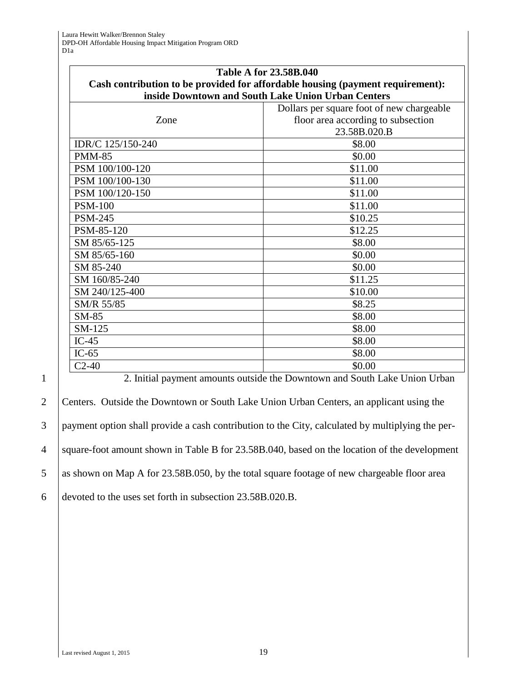|                   | <b>Table A for 23.58B.040</b>                                                  |  |
|-------------------|--------------------------------------------------------------------------------|--|
|                   | Cash contribution to be provided for affordable housing (payment requirement): |  |
|                   | inside Downtown and South Lake Union Urban Centers                             |  |
|                   | Dollars per square foot of new chargeable                                      |  |
| Zone              | floor area according to subsection                                             |  |
|                   | 23.58B.020.B                                                                   |  |
| IDR/C 125/150-240 | \$8.00                                                                         |  |
| <b>PMM-85</b>     | \$0.00                                                                         |  |
| PSM 100/100-120   | \$11.00                                                                        |  |
| PSM 100/100-130   | \$11.00                                                                        |  |
| PSM 100/120-150   | \$11.00                                                                        |  |
| <b>PSM-100</b>    | \$11.00                                                                        |  |
| <b>PSM-245</b>    | \$10.25                                                                        |  |
| PSM-85-120        | \$12.25                                                                        |  |
| SM 85/65-125      | \$8.00                                                                         |  |
| SM 85/65-160      | \$0.00                                                                         |  |
| SM 85-240         | \$0.00                                                                         |  |
| SM 160/85-240     | \$11.25                                                                        |  |
| SM 240/125-400    | \$10.00                                                                        |  |
| SM/R 55/85        | \$8.25                                                                         |  |
| $SM-85$           | \$8.00                                                                         |  |
| SM-125            | \$8.00                                                                         |  |
| $IC-45$           | \$8.00                                                                         |  |
| $IC-65$           | \$8.00                                                                         |  |
| $C2-40$           | \$0.00                                                                         |  |

2 Centers. Outside the Downtown or South Lake Union Urban Centers, an applicant using the 3 payment option shall provide a cash contribution to the City, calculated by multiplying the per-4 square-foot amount shown in Table B for 23.58B.040, based on the location of the development 5 as shown on Map A for 23.58B.050, by the total square footage of new chargeable floor area 6 devoted to the uses set forth in subsection 23.58B.020.B.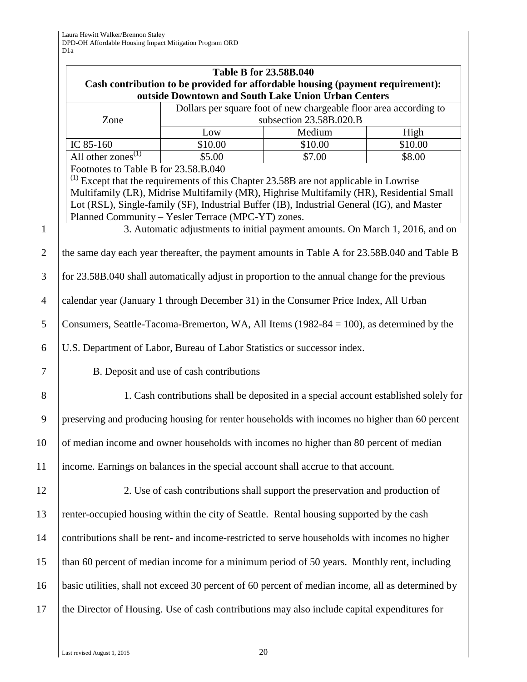|                | <b>Table B for 23.58B.040</b>                                                                                            |                                                    |                                                                                                                                                                                                                                                                                                                                                                       |         |
|----------------|--------------------------------------------------------------------------------------------------------------------------|----------------------------------------------------|-----------------------------------------------------------------------------------------------------------------------------------------------------------------------------------------------------------------------------------------------------------------------------------------------------------------------------------------------------------------------|---------|
|                | Cash contribution to be provided for affordable housing (payment requirement):                                           |                                                    |                                                                                                                                                                                                                                                                                                                                                                       |         |
|                | outside Downtown and South Lake Union Urban Centers<br>Dollars per square foot of new chargeable floor area according to |                                                    |                                                                                                                                                                                                                                                                                                                                                                       |         |
|                | Zone                                                                                                                     |                                                    | subsection 23.58B.020.B                                                                                                                                                                                                                                                                                                                                               |         |
|                |                                                                                                                          | $_{\text{Low}}$                                    | Medium                                                                                                                                                                                                                                                                                                                                                                | High    |
|                | IC 85-160                                                                                                                | \$10.00                                            | \$10.00                                                                                                                                                                                                                                                                                                                                                               | \$10.00 |
|                | All other zones $^{(1)}$                                                                                                 | \$5.00                                             | \$7.00                                                                                                                                                                                                                                                                                                                                                                | \$8.00  |
| $\mathbf{1}$   | Footnotes to Table B for 23.58.B.040                                                                                     | Planned Community - Yesler Terrace (MPC-YT) zones. | $^{(1)}$ Except that the requirements of this Chapter 23.58B are not applicable in Lowrise<br>Multifamily (LR), Midrise Multifamily (MR), Highrise Multifamily (HR), Residential Small<br>Lot (RSL), Single-family (SF), Industrial Buffer (IB), Industrial General (IG), and Master<br>3. Automatic adjustments to initial payment amounts. On March 1, 2016, and on |         |
|                |                                                                                                                          |                                                    |                                                                                                                                                                                                                                                                                                                                                                       |         |
| $\overline{2}$ |                                                                                                                          |                                                    | the same day each year thereafter, the payment amounts in Table A for 23.58B.040 and Table B                                                                                                                                                                                                                                                                          |         |
| 3              |                                                                                                                          |                                                    | for 23.58B.040 shall automatically adjust in proportion to the annual change for the previous                                                                                                                                                                                                                                                                         |         |
| $\overline{4}$ |                                                                                                                          |                                                    | calendar year (January 1 through December 31) in the Consumer Price Index, All Urban                                                                                                                                                                                                                                                                                  |         |
| 5              |                                                                                                                          |                                                    | Consumers, Seattle-Tacoma-Bremerton, WA, All Items (1982-84 = 100), as determined by the                                                                                                                                                                                                                                                                              |         |
| 6              |                                                                                                                          |                                                    | U.S. Department of Labor, Bureau of Labor Statistics or successor index.                                                                                                                                                                                                                                                                                              |         |
| $\overline{7}$ |                                                                                                                          | B. Deposit and use of cash contributions           |                                                                                                                                                                                                                                                                                                                                                                       |         |
| 8              |                                                                                                                          |                                                    | 1. Cash contributions shall be deposited in a special account established solely for                                                                                                                                                                                                                                                                                  |         |
| 9              |                                                                                                                          |                                                    | preserving and producing housing for renter households with incomes no higher than 60 percent                                                                                                                                                                                                                                                                         |         |
| 10             |                                                                                                                          |                                                    | of median income and owner households with incomes no higher than 80 percent of median                                                                                                                                                                                                                                                                                |         |
| 11             |                                                                                                                          |                                                    | income. Earnings on balances in the special account shall accrue to that account.                                                                                                                                                                                                                                                                                     |         |
| 12             |                                                                                                                          |                                                    | 2. Use of cash contributions shall support the preservation and production of                                                                                                                                                                                                                                                                                         |         |
| 13             |                                                                                                                          |                                                    | renter-occupied housing within the city of Seattle. Rental housing supported by the cash                                                                                                                                                                                                                                                                              |         |
| 14             |                                                                                                                          |                                                    | contributions shall be rent- and income-restricted to serve households with incomes no higher                                                                                                                                                                                                                                                                         |         |
| 15             |                                                                                                                          |                                                    | than 60 percent of median income for a minimum period of 50 years. Monthly rent, including                                                                                                                                                                                                                                                                            |         |
| 16             |                                                                                                                          |                                                    | basic utilities, shall not exceed 30 percent of 60 percent of median income, all as determined by                                                                                                                                                                                                                                                                     |         |
| 17             |                                                                                                                          |                                                    | the Director of Housing. Use of cash contributions may also include capital expenditures for                                                                                                                                                                                                                                                                          |         |

Last revised August 1, 2015 20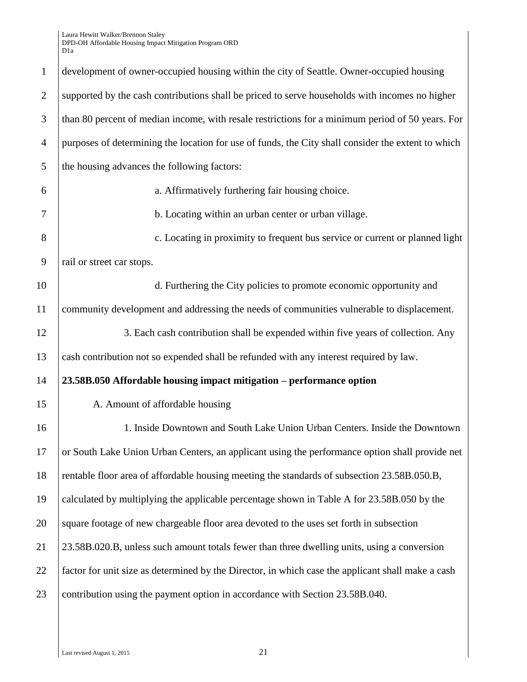| $\mathbf{1}$   | development of owner-occupied housing within the city of Seattle. Owner-occupied housing           |
|----------------|----------------------------------------------------------------------------------------------------|
| $\overline{2}$ | supported by the cash contributions shall be priced to serve households with incomes no higher     |
| 3              | than 80 percent of median income, with resale restrictions for a minimum period of 50 years. For   |
| $\overline{4}$ | purposes of determining the location for use of funds, the City shall consider the extent to which |
| 5              | the housing advances the following factors:                                                        |
| 6              | a. Affirmatively furthering fair housing choice.                                                   |
| 7              | b. Locating within an urban center or urban village.                                               |
| 8              | c. Locating in proximity to frequent bus service or current or planned light                       |
| 9              | rail or street car stops.                                                                          |
| 10             | d. Furthering the City policies to promote economic opportunity and                                |
| 11             | community development and addressing the needs of communities vulnerable to displacement.          |
| 12             | 3. Each cash contribution shall be expended within five years of collection. Any                   |
| 13             | cash contribution not so expended shall be refunded with any interest required by law.             |
| 14             | 23.58B.050 Affordable housing impact mitigation - performance option                               |
| 15             | A. Amount of affordable housing                                                                    |
| 16             | 1. Inside Downtown and South Lake Union Urban Centers. Inside the Downtown                         |
| 17             | or South Lake Union Urban Centers, an applicant using the performance option shall provide net     |
| 18             | rentable floor area of affordable housing meeting the standards of subsection 23.58B.050.B,        |
| 19             | calculated by multiplying the applicable percentage shown in Table A for 23.58B.050 by the         |
| 20             | square footage of new chargeable floor area devoted to the uses set forth in subsection            |
| 21             | 23.58B.020.B, unless such amount totals fewer than three dwelling units, using a conversion        |
| 22             | factor for unit size as determined by the Director, in which case the applicant shall make a cash  |
| 23             | contribution using the payment option in accordance with Section 23.58B.040.                       |
|                |                                                                                                    |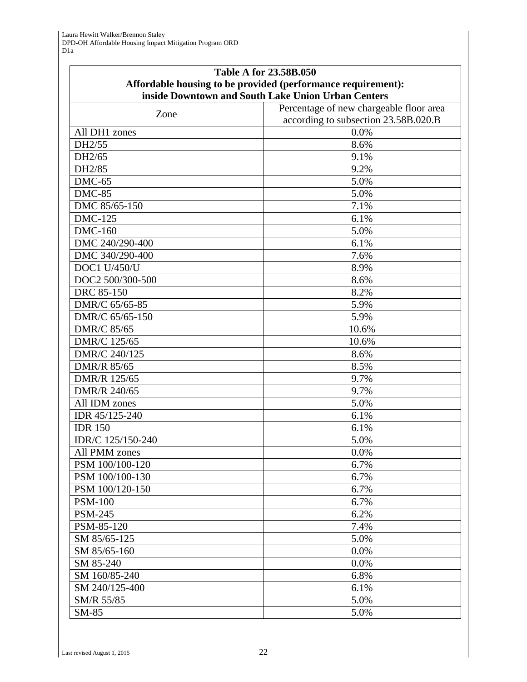| Affordable housing to be provided (performance requirement):<br>inside Downtown and South Lake Union Urban Centers<br>Percentage of new chargeable floor area<br>Zone<br>according to subsection 23.58B.020.B<br>All DH1 zones<br>0.0%<br>DH2/55<br>8.6%<br>DH2/65<br>9.1%<br>DH2/85<br>9.2%<br>$DMC-65$<br>5.0%<br>$DMC-85$<br>5.0%<br>DMC 85/65-150<br>7.1%<br><b>DMC-125</b><br>6.1%<br><b>DMC-160</b><br>5.0%<br>DMC 240/290-400<br>6.1%<br>DMC 340/290-400<br>7.6%<br><b>DOC1 U/450/U</b><br>8.9%<br>DOC2 500/300-500<br>8.6%<br><b>DRC</b> 85-150<br>8.2%<br>DMR/C 65/65-85<br>5.9%<br>DMR/C 65/65-150<br>5.9%<br><b>DMR/C 85/65</b><br>10.6%<br>DMR/C 125/65<br>10.6%<br>DMR/C 240/125<br>8.6%<br><b>DMR/R 85/65</b><br>8.5%<br>DMR/R 125/65<br>9.7%<br>DMR/R 240/65<br>9.7%<br>All IDM zones<br>5.0%<br>IDR 45/125-240<br>6.1%<br><b>IDR 150</b><br>6.1%<br>IDR/C 125/150-240<br>5.0%<br>All PMM zones<br>0.0%<br>PSM 100/100-120<br>6.7%<br>PSM 100/100-130<br>6.7%<br>PSM 100/120-150<br>6.7%<br><b>PSM-100</b><br>6.7%<br><b>PSM-245</b><br>6.2%<br>PSM-85-120<br>7.4%<br>SM 85/65-125<br>5.0%<br>SM 85/65-160<br>0.0%<br>SM 85-240<br>0.0%<br>6.8%<br>SM 160/85-240<br>SM 240/125-400<br>6.1%<br>SM/R 55/85<br>5.0% | <b>Table A for 23.58B.050</b> |  |  |  |
|---------------------------------------------------------------------------------------------------------------------------------------------------------------------------------------------------------------------------------------------------------------------------------------------------------------------------------------------------------------------------------------------------------------------------------------------------------------------------------------------------------------------------------------------------------------------------------------------------------------------------------------------------------------------------------------------------------------------------------------------------------------------------------------------------------------------------------------------------------------------------------------------------------------------------------------------------------------------------------------------------------------------------------------------------------------------------------------------------------------------------------------------------------------------------------------------------------------------------------|-------------------------------|--|--|--|
|                                                                                                                                                                                                                                                                                                                                                                                                                                                                                                                                                                                                                                                                                                                                                                                                                                                                                                                                                                                                                                                                                                                                                                                                                                 |                               |  |  |  |
|                                                                                                                                                                                                                                                                                                                                                                                                                                                                                                                                                                                                                                                                                                                                                                                                                                                                                                                                                                                                                                                                                                                                                                                                                                 |                               |  |  |  |
|                                                                                                                                                                                                                                                                                                                                                                                                                                                                                                                                                                                                                                                                                                                                                                                                                                                                                                                                                                                                                                                                                                                                                                                                                                 |                               |  |  |  |
|                                                                                                                                                                                                                                                                                                                                                                                                                                                                                                                                                                                                                                                                                                                                                                                                                                                                                                                                                                                                                                                                                                                                                                                                                                 |                               |  |  |  |
|                                                                                                                                                                                                                                                                                                                                                                                                                                                                                                                                                                                                                                                                                                                                                                                                                                                                                                                                                                                                                                                                                                                                                                                                                                 |                               |  |  |  |
|                                                                                                                                                                                                                                                                                                                                                                                                                                                                                                                                                                                                                                                                                                                                                                                                                                                                                                                                                                                                                                                                                                                                                                                                                                 |                               |  |  |  |
|                                                                                                                                                                                                                                                                                                                                                                                                                                                                                                                                                                                                                                                                                                                                                                                                                                                                                                                                                                                                                                                                                                                                                                                                                                 |                               |  |  |  |
|                                                                                                                                                                                                                                                                                                                                                                                                                                                                                                                                                                                                                                                                                                                                                                                                                                                                                                                                                                                                                                                                                                                                                                                                                                 |                               |  |  |  |
|                                                                                                                                                                                                                                                                                                                                                                                                                                                                                                                                                                                                                                                                                                                                                                                                                                                                                                                                                                                                                                                                                                                                                                                                                                 |                               |  |  |  |
|                                                                                                                                                                                                                                                                                                                                                                                                                                                                                                                                                                                                                                                                                                                                                                                                                                                                                                                                                                                                                                                                                                                                                                                                                                 |                               |  |  |  |
|                                                                                                                                                                                                                                                                                                                                                                                                                                                                                                                                                                                                                                                                                                                                                                                                                                                                                                                                                                                                                                                                                                                                                                                                                                 |                               |  |  |  |
|                                                                                                                                                                                                                                                                                                                                                                                                                                                                                                                                                                                                                                                                                                                                                                                                                                                                                                                                                                                                                                                                                                                                                                                                                                 |                               |  |  |  |
|                                                                                                                                                                                                                                                                                                                                                                                                                                                                                                                                                                                                                                                                                                                                                                                                                                                                                                                                                                                                                                                                                                                                                                                                                                 |                               |  |  |  |
|                                                                                                                                                                                                                                                                                                                                                                                                                                                                                                                                                                                                                                                                                                                                                                                                                                                                                                                                                                                                                                                                                                                                                                                                                                 |                               |  |  |  |
|                                                                                                                                                                                                                                                                                                                                                                                                                                                                                                                                                                                                                                                                                                                                                                                                                                                                                                                                                                                                                                                                                                                                                                                                                                 |                               |  |  |  |
|                                                                                                                                                                                                                                                                                                                                                                                                                                                                                                                                                                                                                                                                                                                                                                                                                                                                                                                                                                                                                                                                                                                                                                                                                                 |                               |  |  |  |
|                                                                                                                                                                                                                                                                                                                                                                                                                                                                                                                                                                                                                                                                                                                                                                                                                                                                                                                                                                                                                                                                                                                                                                                                                                 |                               |  |  |  |
|                                                                                                                                                                                                                                                                                                                                                                                                                                                                                                                                                                                                                                                                                                                                                                                                                                                                                                                                                                                                                                                                                                                                                                                                                                 |                               |  |  |  |
|                                                                                                                                                                                                                                                                                                                                                                                                                                                                                                                                                                                                                                                                                                                                                                                                                                                                                                                                                                                                                                                                                                                                                                                                                                 |                               |  |  |  |
|                                                                                                                                                                                                                                                                                                                                                                                                                                                                                                                                                                                                                                                                                                                                                                                                                                                                                                                                                                                                                                                                                                                                                                                                                                 |                               |  |  |  |
|                                                                                                                                                                                                                                                                                                                                                                                                                                                                                                                                                                                                                                                                                                                                                                                                                                                                                                                                                                                                                                                                                                                                                                                                                                 |                               |  |  |  |
|                                                                                                                                                                                                                                                                                                                                                                                                                                                                                                                                                                                                                                                                                                                                                                                                                                                                                                                                                                                                                                                                                                                                                                                                                                 |                               |  |  |  |
|                                                                                                                                                                                                                                                                                                                                                                                                                                                                                                                                                                                                                                                                                                                                                                                                                                                                                                                                                                                                                                                                                                                                                                                                                                 |                               |  |  |  |
|                                                                                                                                                                                                                                                                                                                                                                                                                                                                                                                                                                                                                                                                                                                                                                                                                                                                                                                                                                                                                                                                                                                                                                                                                                 |                               |  |  |  |
|                                                                                                                                                                                                                                                                                                                                                                                                                                                                                                                                                                                                                                                                                                                                                                                                                                                                                                                                                                                                                                                                                                                                                                                                                                 |                               |  |  |  |
|                                                                                                                                                                                                                                                                                                                                                                                                                                                                                                                                                                                                                                                                                                                                                                                                                                                                                                                                                                                                                                                                                                                                                                                                                                 |                               |  |  |  |
|                                                                                                                                                                                                                                                                                                                                                                                                                                                                                                                                                                                                                                                                                                                                                                                                                                                                                                                                                                                                                                                                                                                                                                                                                                 |                               |  |  |  |
|                                                                                                                                                                                                                                                                                                                                                                                                                                                                                                                                                                                                                                                                                                                                                                                                                                                                                                                                                                                                                                                                                                                                                                                                                                 |                               |  |  |  |
|                                                                                                                                                                                                                                                                                                                                                                                                                                                                                                                                                                                                                                                                                                                                                                                                                                                                                                                                                                                                                                                                                                                                                                                                                                 |                               |  |  |  |
|                                                                                                                                                                                                                                                                                                                                                                                                                                                                                                                                                                                                                                                                                                                                                                                                                                                                                                                                                                                                                                                                                                                                                                                                                                 |                               |  |  |  |
|                                                                                                                                                                                                                                                                                                                                                                                                                                                                                                                                                                                                                                                                                                                                                                                                                                                                                                                                                                                                                                                                                                                                                                                                                                 |                               |  |  |  |
|                                                                                                                                                                                                                                                                                                                                                                                                                                                                                                                                                                                                                                                                                                                                                                                                                                                                                                                                                                                                                                                                                                                                                                                                                                 |                               |  |  |  |
|                                                                                                                                                                                                                                                                                                                                                                                                                                                                                                                                                                                                                                                                                                                                                                                                                                                                                                                                                                                                                                                                                                                                                                                                                                 |                               |  |  |  |
|                                                                                                                                                                                                                                                                                                                                                                                                                                                                                                                                                                                                                                                                                                                                                                                                                                                                                                                                                                                                                                                                                                                                                                                                                                 |                               |  |  |  |
|                                                                                                                                                                                                                                                                                                                                                                                                                                                                                                                                                                                                                                                                                                                                                                                                                                                                                                                                                                                                                                                                                                                                                                                                                                 |                               |  |  |  |
|                                                                                                                                                                                                                                                                                                                                                                                                                                                                                                                                                                                                                                                                                                                                                                                                                                                                                                                                                                                                                                                                                                                                                                                                                                 |                               |  |  |  |
|                                                                                                                                                                                                                                                                                                                                                                                                                                                                                                                                                                                                                                                                                                                                                                                                                                                                                                                                                                                                                                                                                                                                                                                                                                 |                               |  |  |  |
|                                                                                                                                                                                                                                                                                                                                                                                                                                                                                                                                                                                                                                                                                                                                                                                                                                                                                                                                                                                                                                                                                                                                                                                                                                 |                               |  |  |  |
|                                                                                                                                                                                                                                                                                                                                                                                                                                                                                                                                                                                                                                                                                                                                                                                                                                                                                                                                                                                                                                                                                                                                                                                                                                 |                               |  |  |  |
|                                                                                                                                                                                                                                                                                                                                                                                                                                                                                                                                                                                                                                                                                                                                                                                                                                                                                                                                                                                                                                                                                                                                                                                                                                 |                               |  |  |  |
|                                                                                                                                                                                                                                                                                                                                                                                                                                                                                                                                                                                                                                                                                                                                                                                                                                                                                                                                                                                                                                                                                                                                                                                                                                 |                               |  |  |  |
|                                                                                                                                                                                                                                                                                                                                                                                                                                                                                                                                                                                                                                                                                                                                                                                                                                                                                                                                                                                                                                                                                                                                                                                                                                 |                               |  |  |  |
|                                                                                                                                                                                                                                                                                                                                                                                                                                                                                                                                                                                                                                                                                                                                                                                                                                                                                                                                                                                                                                                                                                                                                                                                                                 |                               |  |  |  |
| SM-85<br>5.0%                                                                                                                                                                                                                                                                                                                                                                                                                                                                                                                                                                                                                                                                                                                                                                                                                                                                                                                                                                                                                                                                                                                                                                                                                   |                               |  |  |  |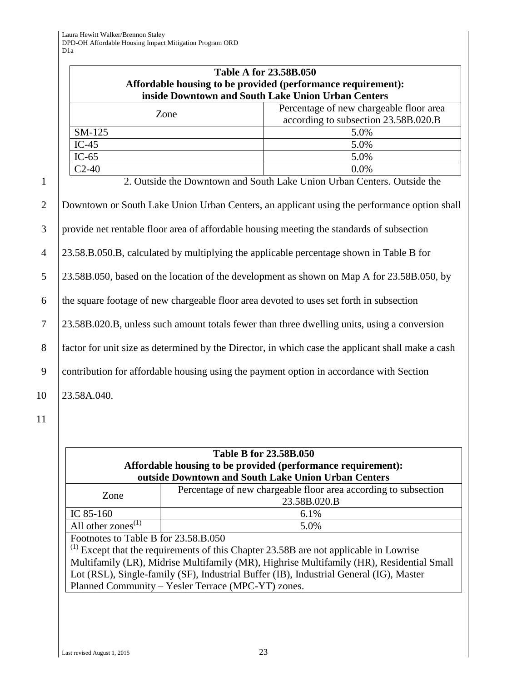|                                                                         | <b>Table A for 23.58B.050</b><br>Affordable housing to be provided (performance requirement): |  |
|-------------------------------------------------------------------------|-----------------------------------------------------------------------------------------------|--|
| inside Downtown and South Lake Union Urban Centers                      |                                                                                               |  |
| Zone                                                                    | Percentage of new chargeable floor area                                                       |  |
|                                                                         | according to subsection 23.58B.020.B                                                          |  |
| $SM-125$                                                                | 5.0%                                                                                          |  |
| IC-45                                                                   | 5.0%                                                                                          |  |
| $IC-65$                                                                 | 5.0%                                                                                          |  |
| $C2-40$                                                                 | $0.0\%$                                                                                       |  |
| 2. Outside the Downtown and South Lake Union Urban Centers. Outside the |                                                                                               |  |

|                | <u>Outbrue the Downtown and Douth Barre Omon Oroan Content.</u> Outbrue the                       |
|----------------|---------------------------------------------------------------------------------------------------|
| 2              | Downtown or South Lake Union Urban Centers, an applicant using the performance option shall       |
| 3              | provide net rentable floor area of affordable housing meeting the standards of subsection         |
| $\overline{4}$ | 23.58.B.050.B, calculated by multiplying the applicable percentage shown in Table B for           |
| 5              | 23.58B.050, based on the location of the development as shown on Map A for 23.58B.050, by         |
| 6              | the square footage of new chargeable floor area devoted to uses set forth in subsection           |
| $\overline{7}$ | 23.58B.020.B, unless such amount totals fewer than three dwelling units, using a conversion       |
| 8              | factor for unit size as determined by the Director, in which case the applicant shall make a cash |
| 9              | contribution for affordable housing using the payment option in accordance with Section           |
| 10             | 23.58A.040.                                                                                       |

11

## **Table B for 23.58B.050 Affordable housing to be provided (performance requirement): outside Downtown and South Lake Union Urban Centers**

| Zone                                        | Percentage of new chargeable floor area according to subsection<br>23.58B.020.B |  |
|---------------------------------------------|---------------------------------------------------------------------------------|--|
| IC $85-160$                                 | 6.1%                                                                            |  |
| All other zones <sup><math>(1)</math></sup> | 5.0%                                                                            |  |
| Footnotes to Table B for 23.58.B.050        |                                                                                 |  |

 $<sup>(1)</sup>$  Except that the requirements of this Chapter 23.58B are not applicable in Lowrise</sup> Multifamily (LR), Midrise Multifamily (MR), Highrise Multifamily (HR), Residential Small Lot (RSL), Single-family (SF), Industrial Buffer (IB), Industrial General (IG), Master Planned Community – Yesler Terrace (MPC-YT) zones.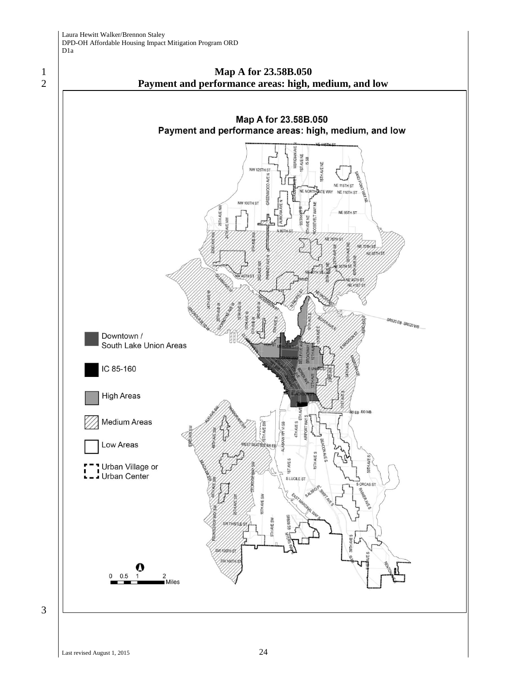



3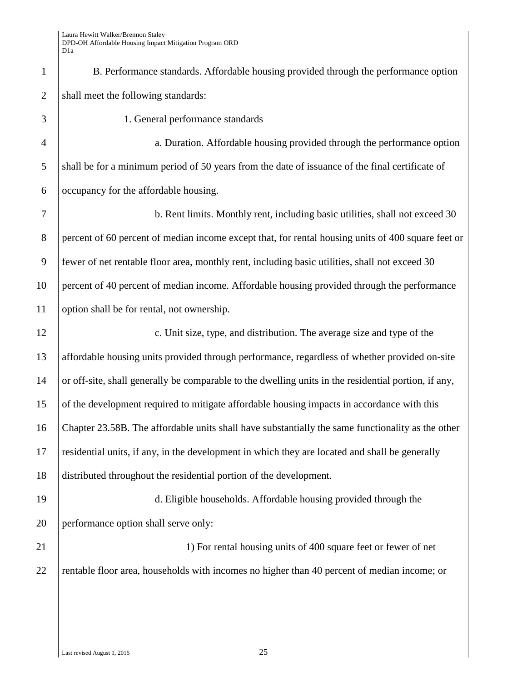1 B. Performance standards. Affordable housing provided through the performance option 2 shall meet the following standards:

| 3              | 1. General performance standards                                                                     |
|----------------|------------------------------------------------------------------------------------------------------|
| $\overline{4}$ | a. Duration. Affordable housing provided through the performance option                              |
| 5              | shall be for a minimum period of 50 years from the date of issuance of the final certificate of      |
| 6              | occupancy for the affordable housing.                                                                |
| 7              | b. Rent limits. Monthly rent, including basic utilities, shall not exceed 30                         |
| 8              | percent of 60 percent of median income except that, for rental housing units of 400 square feet or   |
| 9              | fewer of net rentable floor area, monthly rent, including basic utilities, shall not exceed 30       |
| 10             | percent of 40 percent of median income. Affordable housing provided through the performance          |
| 11             | option shall be for rental, not ownership.                                                           |
| 12             | c. Unit size, type, and distribution. The average size and type of the                               |
| 13             | affordable housing units provided through performance, regardless of whether provided on-site        |
| 14             | or off-site, shall generally be comparable to the dwelling units in the residential portion, if any, |
| 15             | of the development required to mitigate affordable housing impacts in accordance with this           |
| 16             | Chapter 23.58B. The affordable units shall have substantially the same functionality as the other    |
| 17             | residential units, if any, in the development in which they are located and shall be generally       |
| 18             | distributed throughout the residential portion of the development.                                   |
| 19             | d. Eligible households. Affordable housing provided through the                                      |
| 20             | performance option shall serve only:                                                                 |
| 21             | 1) For rental housing units of 400 square feet or fewer of net                                       |
| 22             | rentable floor area, households with incomes no higher than 40 percent of median income; or          |
|                |                                                                                                      |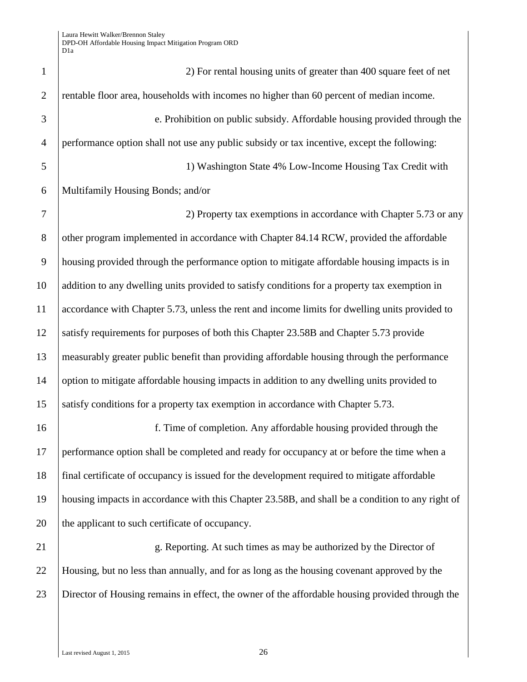| $\mathbf{1}$   | 2) For rental housing units of greater than 400 square feet of net                               |
|----------------|--------------------------------------------------------------------------------------------------|
| $\overline{2}$ | rentable floor area, households with incomes no higher than 60 percent of median income.         |
| 3              | e. Prohibition on public subsidy. Affordable housing provided through the                        |
| $\overline{4}$ | performance option shall not use any public subsidy or tax incentive, except the following:      |
| 5              | 1) Washington State 4% Low-Income Housing Tax Credit with                                        |
| 6              | Multifamily Housing Bonds; and/or                                                                |
| $\overline{7}$ | 2) Property tax exemptions in accordance with Chapter 5.73 or any                                |
| $8\phantom{.}$ | other program implemented in accordance with Chapter 84.14 RCW, provided the affordable          |
| 9              | housing provided through the performance option to mitigate affordable housing impacts is in     |
| 10             | addition to any dwelling units provided to satisfy conditions for a property tax exemption in    |
| 11             | accordance with Chapter 5.73, unless the rent and income limits for dwelling units provided to   |
| 12             | satisfy requirements for purposes of both this Chapter 23.58B and Chapter 5.73 provide           |
| 13             | measurably greater public benefit than providing affordable housing through the performance      |
| 14             | option to mitigate affordable housing impacts in addition to any dwelling units provided to      |
| 15             | satisfy conditions for a property tax exemption in accordance with Chapter 5.73.                 |
| 16             | f. Time of completion. Any affordable housing provided through the                               |
| 17             | performance option shall be completed and ready for occupancy at or before the time when a       |
| 18             | final certificate of occupancy is issued for the development required to mitigate affordable     |
| 19             | housing impacts in accordance with this Chapter 23.58B, and shall be a condition to any right of |
| 20             | the applicant to such certificate of occupancy.                                                  |
| 21             | g. Reporting. At such times as may be authorized by the Director of                              |
| 22             | Housing, but no less than annually, and for as long as the housing covenant approved by the      |
| 23             | Director of Housing remains in effect, the owner of the affordable housing provided through the  |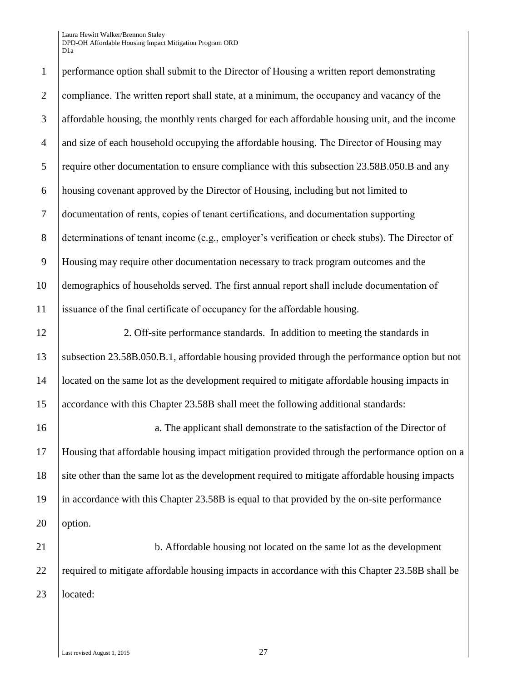1 performance option shall submit to the Director of Housing a written report demonstrating 2 compliance. The written report shall state, at a minimum, the occupancy and vacancy of the 3 affordable housing, the monthly rents charged for each affordable housing unit, and the income  $\frac{4}{1}$  and size of each household occupying the affordable housing. The Director of Housing may 5 require other documentation to ensure compliance with this subsection 23.58B.050.B and any 6 housing covenant approved by the Director of Housing, including but not limited to 7 documentation of rents copies of tenant certifications and documentation supporting 8 determinations of tenant income (e.g., employer's verification or check stubs). The Director of 9 Housing may require other documentation necessary to track program outcomes and the 10 demographics of households served. The first annual report shall include documentation of 11 issuance of the final certificate of occupancy for the affordable housing. 12 2. Off-site performance standards. In addition to meeting the standards in 13 subsection 23.58B.050.B.1, affordable housing provided through the performance option but not 14 located on the same lot as the development required to mitigate affordable housing impacts in 15 accordance with this Chapter 23.58B shall meet the following additional standards: 16 a. The applicant shall demonstrate to the satisfaction of the Director of 17 Housing that affordable housing impact mitigation provided through the performance option on a 18 site other than the same lot as the development required to mitigate affordable housing impacts 19 in accordance with this Chapter 23.58B is equal to that provided by the on-site performance 20 option. 21 **b.** Affordable housing not located on the same lot as the development 22 required to mitigate affordable housing impacts in accordance with this Chapter 23.58B shall be 23 located: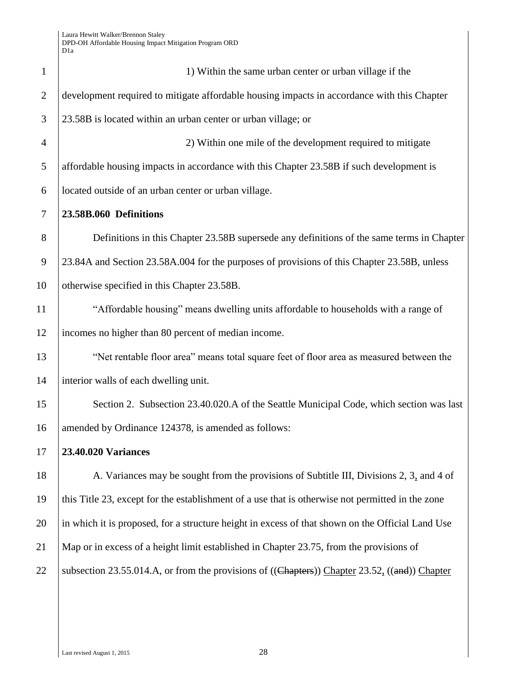| $\mathbf{1}$   | 1) Within the same urban center or urban village if the                                                         |
|----------------|-----------------------------------------------------------------------------------------------------------------|
| $\overline{2}$ | development required to mitigate affordable housing impacts in accordance with this Chapter                     |
| 3              | 23.58B is located within an urban center or urban village; or                                                   |
| $\overline{4}$ | 2) Within one mile of the development required to mitigate                                                      |
| 5              | affordable housing impacts in accordance with this Chapter 23.58B if such development is                        |
| 6              | located outside of an urban center or urban village.                                                            |
| 7              | 23.58B.060 Definitions                                                                                          |
| 8              | Definitions in this Chapter 23.58B supersede any definitions of the same terms in Chapter                       |
| 9              | 23.84A and Section 23.58A.004 for the purposes of provisions of this Chapter 23.58B, unless                     |
| 10             | otherwise specified in this Chapter 23.58B.                                                                     |
| 11             | "Affordable housing" means dwelling units affordable to households with a range of                              |
| 12             | incomes no higher than 80 percent of median income.                                                             |
| 13             | "Net rentable floor area" means total square feet of floor area as measured between the                         |
| 14             | interior walls of each dwelling unit.                                                                           |
| 15             | Section 2. Subsection 23.40.020.A of the Seattle Municipal Code, which section was last                         |
| 16             | amended by Ordinance 124378, is amended as follows:                                                             |
| 17             | 23.40.020 Variances                                                                                             |
| 18             | A. Variances may be sought from the provisions of Subtitle III, Divisions 2, 3, and 4 of                        |
| 19             | this Title 23, except for the establishment of a use that is otherwise not permitted in the zone                |
| 20             | in which it is proposed, for a structure height in excess of that shown on the Official Land Use                |
| 21             | Map or in excess of a height limit established in Chapter 23.75, from the provisions of                         |
| 22             | subsection 23.55.014.A, or from the provisions of $((\text{Chapters}))$ Chapter 23.52, $((\text{and}))$ Chapter |
|                |                                                                                                                 |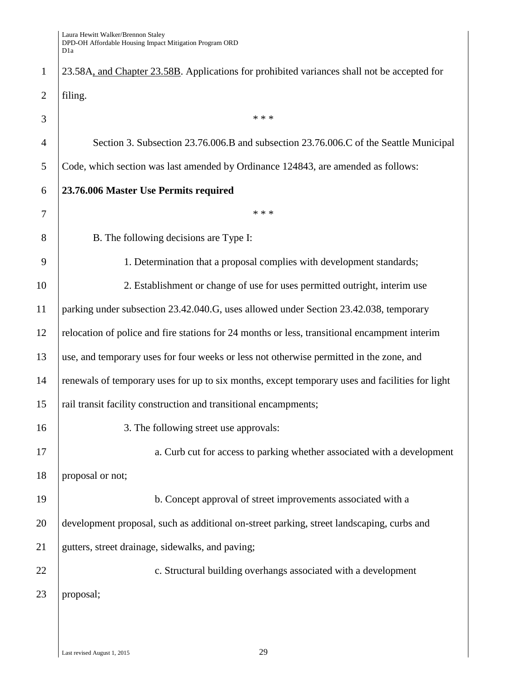| $\mathbf{1}$   | 23.58A, and Chapter 23.58B. Applications for prohibited variances shall not be accepted for     |  |  |  |
|----------------|-------------------------------------------------------------------------------------------------|--|--|--|
| $\overline{2}$ | filing.                                                                                         |  |  |  |
| 3              | * * *                                                                                           |  |  |  |
| $\overline{4}$ | Section 3. Subsection 23.76.006.B and subsection 23.76.006.C of the Seattle Municipal           |  |  |  |
| 5              | Code, which section was last amended by Ordinance 124843, are amended as follows:               |  |  |  |
| 6              | 23.76.006 Master Use Permits required                                                           |  |  |  |
| 7              | * * *                                                                                           |  |  |  |
| 8              | B. The following decisions are Type I:                                                          |  |  |  |
| 9              | 1. Determination that a proposal complies with development standards;                           |  |  |  |
| 10             | 2. Establishment or change of use for uses permitted outright, interim use                      |  |  |  |
| 11             | parking under subsection 23.42.040.G, uses allowed under Section 23.42.038, temporary           |  |  |  |
| 12             | relocation of police and fire stations for 24 months or less, transitional encampment interim   |  |  |  |
| 13             | use, and temporary uses for four weeks or less not otherwise permitted in the zone, and         |  |  |  |
| 14             | renewals of temporary uses for up to six months, except temporary uses and facilities for light |  |  |  |
| 15             | rail transit facility construction and transitional encampments;                                |  |  |  |
| 16             | 3. The following street use approvals:                                                          |  |  |  |
| 17             | a. Curb cut for access to parking whether associated with a development                         |  |  |  |
| 18             | proposal or not;                                                                                |  |  |  |
| 19             | b. Concept approval of street improvements associated with a                                    |  |  |  |
| 20             | development proposal, such as additional on-street parking, street landscaping, curbs and       |  |  |  |
| 21             | gutters, street drainage, sidewalks, and paving;                                                |  |  |  |
| 22             | c. Structural building overhangs associated with a development                                  |  |  |  |
| 23             | proposal;                                                                                       |  |  |  |
|                |                                                                                                 |  |  |  |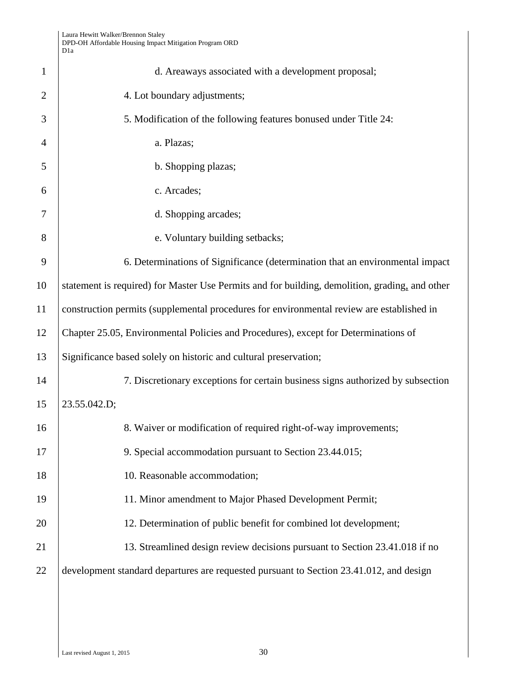|                | Laura Hewitt Walker/Brennon Staley<br>DPD-OH Affordable Housing Impact Mitigation Program ORD<br>D1a |  |  |
|----------------|------------------------------------------------------------------------------------------------------|--|--|
| $\mathbf{1}$   | d. Areaways associated with a development proposal;                                                  |  |  |
| $\overline{2}$ | 4. Lot boundary adjustments;                                                                         |  |  |
| 3              | 5. Modification of the following features bonused under Title 24:                                    |  |  |
| $\overline{4}$ | a. Plazas;                                                                                           |  |  |
| 5              | b. Shopping plazas;                                                                                  |  |  |
| 6              | c. Arcades;                                                                                          |  |  |
| 7              | d. Shopping arcades;                                                                                 |  |  |
| 8              | e. Voluntary building setbacks;                                                                      |  |  |
| 9              | 6. Determinations of Significance (determination that an environmental impact                        |  |  |
| 10             | statement is required) for Master Use Permits and for building, demolition, grading, and other       |  |  |
| 11             | construction permits (supplemental procedures for environmental review are established in            |  |  |
| 12             | Chapter 25.05, Environmental Policies and Procedures), except for Determinations of                  |  |  |
| 13             | Significance based solely on historic and cultural preservation;                                     |  |  |
| 14             | 7. Discretionary exceptions for certain business signs authorized by subsection                      |  |  |
| 15             | 23.55.042.D;                                                                                         |  |  |
| 16             | 8. Waiver or modification of required right-of-way improvements;                                     |  |  |
| 17             | 9. Special accommodation pursuant to Section 23.44.015;                                              |  |  |
| 18             | 10. Reasonable accommodation;                                                                        |  |  |
| 19             | 11. Minor amendment to Major Phased Development Permit;                                              |  |  |
| 20             | 12. Determination of public benefit for combined lot development;                                    |  |  |
| 21             | 13. Streamlined design review decisions pursuant to Section 23.41.018 if no                          |  |  |
| 22             | development standard departures are requested pursuant to Section 23.41.012, and design              |  |  |
|                |                                                                                                      |  |  |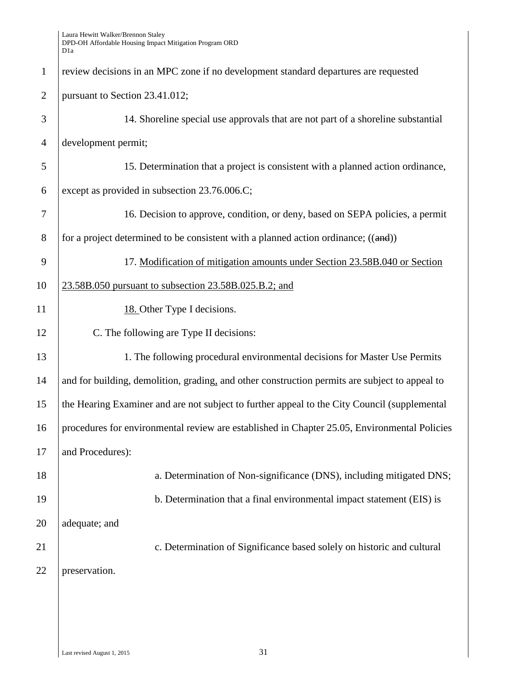| $\mathbf{1}$   | review decisions in an MPC zone if no development standard departures are requested            |  |  |  |
|----------------|------------------------------------------------------------------------------------------------|--|--|--|
| $\overline{2}$ | pursuant to Section 23.41.012;                                                                 |  |  |  |
| 3              | 14. Shoreline special use approvals that are not part of a shoreline substantial               |  |  |  |
| $\overline{4}$ | development permit;                                                                            |  |  |  |
| 5              | 15. Determination that a project is consistent with a planned action ordinance,                |  |  |  |
| 6              | except as provided in subsection 23.76.006.C;                                                  |  |  |  |
| $\overline{7}$ | 16. Decision to approve, condition, or deny, based on SEPA policies, a permit                  |  |  |  |
| 8              | for a project determined to be consistent with a planned action ordinance; $((and))$           |  |  |  |
| 9              | 17. Modification of mitigation amounts under Section 23.58B.040 or Section                     |  |  |  |
| 10             | 23.58B.050 pursuant to subsection 23.58B.025.B.2; and                                          |  |  |  |
| 11             | 18. Other Type I decisions.                                                                    |  |  |  |
| 12             | C. The following are Type II decisions:                                                        |  |  |  |
| 13             | 1. The following procedural environmental decisions for Master Use Permits                     |  |  |  |
| 14             | and for building, demolition, grading, and other construction permits are subject to appeal to |  |  |  |
| 15             | the Hearing Examiner and are not subject to further appeal to the City Council (supplemental   |  |  |  |
| 16             | procedures for environmental review are established in Chapter 25.05, Environmental Policies   |  |  |  |
| 17             | and Procedures):                                                                               |  |  |  |
| 18             | a. Determination of Non-significance (DNS), including mitigated DNS;                           |  |  |  |
| 19             | b. Determination that a final environmental impact statement (EIS) is                          |  |  |  |
| 20             | adequate; and                                                                                  |  |  |  |
| 21             | c. Determination of Significance based solely on historic and cultural                         |  |  |  |
| 22             | preservation.                                                                                  |  |  |  |
|                |                                                                                                |  |  |  |
|                |                                                                                                |  |  |  |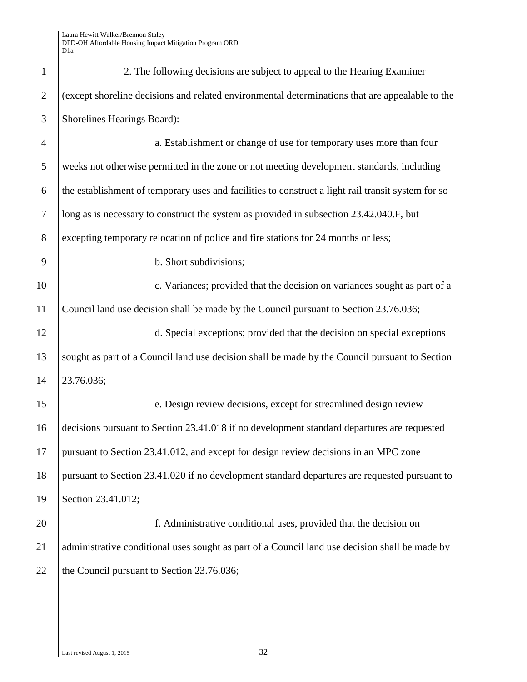| $\mathbf{1}$   | 2. The following decisions are subject to appeal to the Hearing Examiner                           |  |  |
|----------------|----------------------------------------------------------------------------------------------------|--|--|
| $\overline{2}$ | (except shoreline decisions and related environmental determinations that are appealable to the    |  |  |
| 3              | Shorelines Hearings Board):                                                                        |  |  |
| $\overline{4}$ | a. Establishment or change of use for temporary uses more than four                                |  |  |
| 5              | weeks not otherwise permitted in the zone or not meeting development standards, including          |  |  |
| 6              | the establishment of temporary uses and facilities to construct a light rail transit system for so |  |  |
| $\tau$         | long as is necessary to construct the system as provided in subsection 23.42.040.F, but            |  |  |
| $8\,$          | excepting temporary relocation of police and fire stations for 24 months or less;                  |  |  |
| 9              | b. Short subdivisions;                                                                             |  |  |
| 10             | c. Variances; provided that the decision on variances sought as part of a                          |  |  |
| 11             | Council land use decision shall be made by the Council pursuant to Section 23.76.036;              |  |  |
| 12             | d. Special exceptions; provided that the decision on special exceptions                            |  |  |
| 13             | sought as part of a Council land use decision shall be made by the Council pursuant to Section     |  |  |
| 14             | 23.76.036;                                                                                         |  |  |
| 15             | e. Design review decisions, except for streamlined design review                                   |  |  |
| 16             | decisions pursuant to Section 23.41.018 if no development standard departures are requested        |  |  |
| $17\,$         | pursuant to Section 23.41.012, and except for design review decisions in an MPC zone               |  |  |
| 18             | pursuant to Section 23.41.020 if no development standard departures are requested pursuant to      |  |  |
| 19             | Section 23.41.012;                                                                                 |  |  |
| 20             | f. Administrative conditional uses, provided that the decision on                                  |  |  |
| 21             | administrative conditional uses sought as part of a Council land use decision shall be made by     |  |  |
| 22             | the Council pursuant to Section 23.76.036;                                                         |  |  |
|                |                                                                                                    |  |  |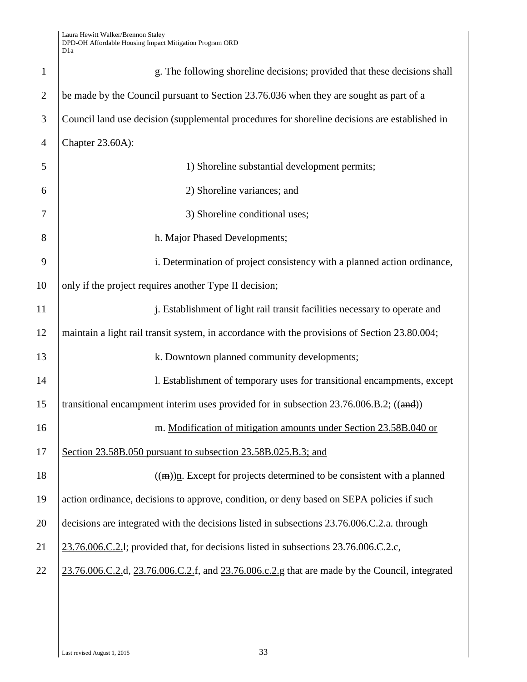| $\mathbf{1}$   | g. The following shoreline decisions; provided that these decisions shall                      |
|----------------|------------------------------------------------------------------------------------------------|
| $\overline{2}$ | be made by the Council pursuant to Section 23.76.036 when they are sought as part of a         |
| 3              | Council land use decision (supplemental procedures for shoreline decisions are established in  |
| $\overline{4}$ | Chapter 23.60A):                                                                               |
| 5              | 1) Shoreline substantial development permits;                                                  |
| 6              | 2) Shoreline variances; and                                                                    |
| 7              | 3) Shoreline conditional uses;                                                                 |
| 8              | h. Major Phased Developments;                                                                  |
| 9              | i. Determination of project consistency with a planned action ordinance,                       |
| 10             | only if the project requires another Type II decision;                                         |
| 11             | j. Establishment of light rail transit facilities necessary to operate and                     |
| 12             | maintain a light rail transit system, in accordance with the provisions of Section 23.80.004;  |
| 13             | k. Downtown planned community developments;                                                    |
| 14             | l. Establishment of temporary uses for transitional encampments, except                        |
| 15             | transitional encampment interim uses provided for in subsection 23.76.006.B.2; ((and))         |
| 16             | m. Modification of mitigation amounts under Section 23.58B.040 or                              |
| 17             | Section 23.58B.050 pursuant to subsection 23.58B.025.B.3; and                                  |
| 18             | $((m))$ n. Except for projects determined to be consistent with a planned                      |
| 19             | action ordinance, decisions to approve, condition, or deny based on SEPA policies if such      |
| 20             | decisions are integrated with the decisions listed in subsections 23.76.006.C.2.a. through     |
| 21             | 23.76.006.C.2.1; provided that, for decisions listed in subsections 23.76.006.C.2.c,           |
| 22             | 23.76.006.C.2.d, 23.76.006.C.2.f, and 23.76.006.c.2.g that are made by the Council, integrated |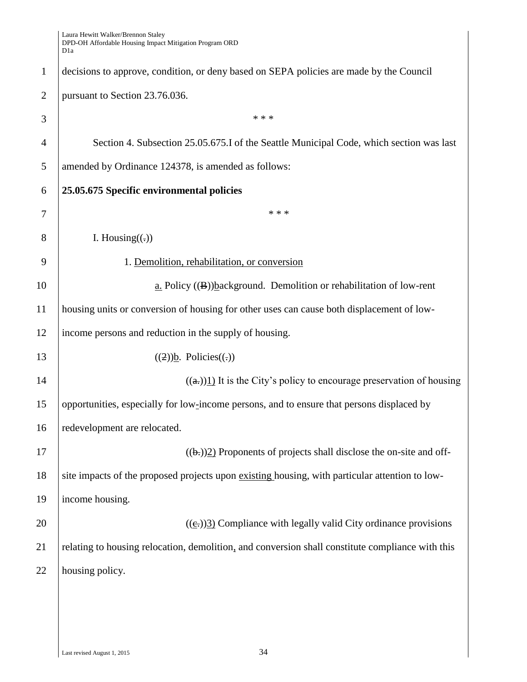1 decisions to approve, condition, or deny based on SEPA policies are made by the Council 2 | pursuant to Section 23.76.036.  $3 \mid$  \*\*\* 4 Section 4. Subsection 25.05.675. I of the Seattle Municipal Code, which section was last 5 amended by Ordinance 124378, is amended as follows: 6 **25.05.675 Specific environmental policies** 7 \* \* \* 8 I. Housing( $\left( \cdot \right)$ ) 9 1. Demolition, rehabilitation, or conversion 10 a. Policy ((B))background. Demolition or rehabilitation of low-rent 11 housing units or conversion of housing for other uses can cause both displacement of low-12 income persons and reduction in the supply of housing. 13 ((2))b. Policies((-)) 14 ((a.))1) It is the City's policy to encourage preservation of housing 15 opportunities, especially for low-income persons, and to ensure that persons displaced by 16 redevelopment are relocated. 17 ( $(\theta_2)$ ) Proponents of projects shall disclose the on-site and off-18 site impacts of the proposed projects upon existing housing, with particular attention to low-19 income housing. 20  $(6)$  ((e))3) Compliance with legally valid City ordinance provisions 21 relating to housing relocation, demolition, and conversion shall constitute compliance with this 22 housing policy.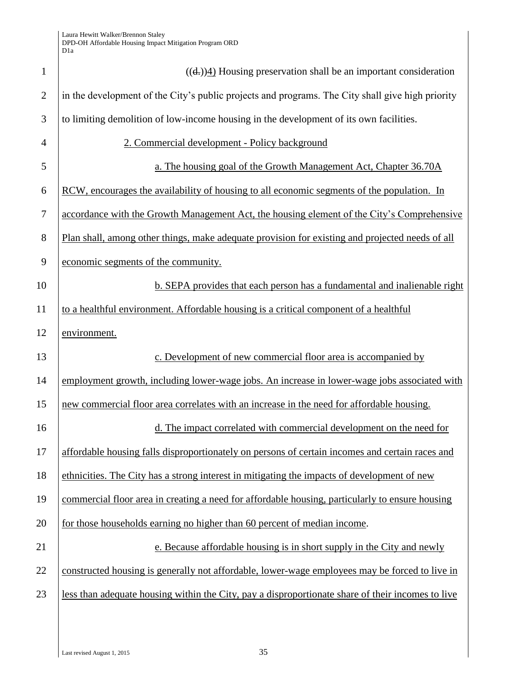| $\mathbf{1}$   | $((d))$ <sup>1</sup> ) Housing preservation shall be an important consideration                   |
|----------------|---------------------------------------------------------------------------------------------------|
| $\overline{2}$ | in the development of the City's public projects and programs. The City shall give high priority  |
| 3              | to limiting demolition of low-income housing in the development of its own facilities.            |
| 4              | 2. Commercial development - Policy background                                                     |
| 5              | a. The housing goal of the Growth Management Act, Chapter 36.70A                                  |
| 6              | RCW, encourages the availability of housing to all economic segments of the population. In        |
| 7              | accordance with the Growth Management Act, the housing element of the City's Comprehensive        |
| 8              | Plan shall, among other things, make adequate provision for existing and projected needs of all   |
| 9              | economic segments of the community.                                                               |
| 10             | b. SEPA provides that each person has a fundamental and inalienable right                         |
| 11             | to a healthful environment. Affordable housing is a critical component of a healthful             |
| 12             | environment.                                                                                      |
| 13             | c. Development of new commercial floor area is accompanied by                                     |
| 14             | employment growth, including lower-wage jobs. An increase in lower-wage jobs associated with      |
| 15             | new commercial floor area correlates with an increase in the need for affordable housing.         |
| 16             | d. The impact correlated with commercial development on the need for                              |
| 17             | affordable housing falls disproportionately on persons of certain incomes and certain races and   |
| 18             | ethnicities. The City has a strong interest in mitigating the impacts of development of new       |
| 19             | commercial floor area in creating a need for affordable housing, particularly to ensure housing   |
| 20             | for those households earning no higher than 60 percent of median income.                          |
| 21             | e. Because affordable housing is in short supply in the City and newly                            |
| 22             | constructed housing is generally not affordable, lower-wage employees may be forced to live in    |
| 23             | less than adequate housing within the City, pay a disproportionate share of their incomes to live |
|                |                                                                                                   |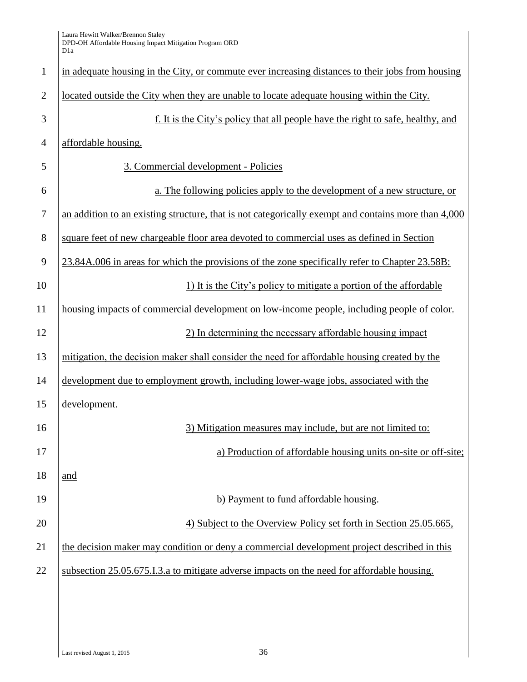| $\mathbf{1}$   | in adequate housing in the City, or commute ever increasing distances to their jobs from housing    |  |
|----------------|-----------------------------------------------------------------------------------------------------|--|
| $\overline{2}$ | located outside the City when they are unable to locate adequate housing within the City.           |  |
| 3              | f. It is the City's policy that all people have the right to safe, healthy, and                     |  |
| $\overline{4}$ | affordable housing.                                                                                 |  |
| 5              | 3. Commercial development - Policies                                                                |  |
| 6              | a. The following policies apply to the development of a new structure, or                           |  |
| 7              | an addition to an existing structure, that is not categorically exempt and contains more than 4,000 |  |
| 8              | square feet of new chargeable floor area devoted to commercial uses as defined in Section           |  |
| 9              | 23.84A.006 in areas for which the provisions of the zone specifically refer to Chapter 23.58B:      |  |
| 10             | 1) It is the City's policy to mitigate a portion of the affordable                                  |  |
| 11             | housing impacts of commercial development on low-income people, including people of color.          |  |
| 12             | 2) In determining the necessary affordable housing impact                                           |  |
| 13             | mitigation, the decision maker shall consider the need for affordable housing created by the        |  |
| 14             | development due to employment growth, including lower-wage jobs, associated with the                |  |
| 15             | development.                                                                                        |  |
| 16             | 3) Mitigation measures may include, but are not limited to:                                         |  |
| 17             | a) Production of affordable housing units on-site or off-site;                                      |  |
| 18             | and                                                                                                 |  |
| 19             | b) Payment to fund affordable housing.                                                              |  |
| 20             | 4) Subject to the Overview Policy set forth in Section 25.05.665,                                   |  |
| 21             | the decision maker may condition or deny a commercial development project described in this         |  |
| 22             | subsection 25.05.675.I.3.a to mitigate adverse impacts on the need for affordable housing.          |  |
|                |                                                                                                     |  |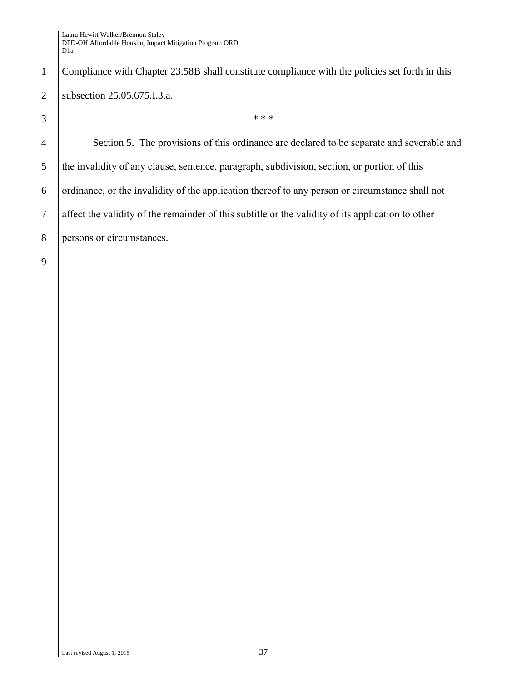## 1 Compliance with Chapter 23.58B shall constitute compliance with the policies set forth in this 2 | subsection 25.05.675.I.3.a.

 $3 \mid$  \*\*\*

 Section 5. The provisions of this ordinance are declared to be separate and severable and the invalidity of any clause, sentence, paragraph, subdivision, section, or portion of this  $\overline{6}$  ordinance, or the invalidity of the application thereof to any person or circumstance shall not affect the validity of the remainder of this subtitle or the validity of its application to other persons or circumstances.

9